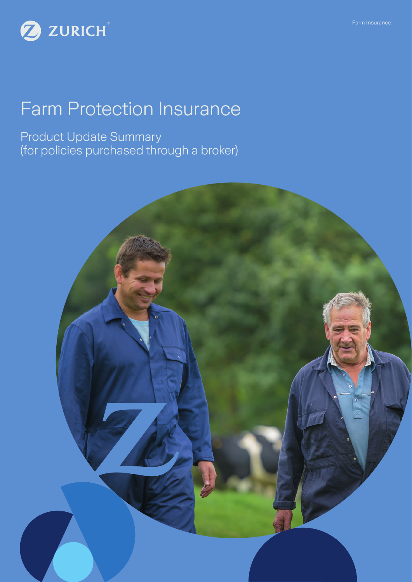

# Farm Protection Insurance

Product Update Summary (for policies purchased through a broker)

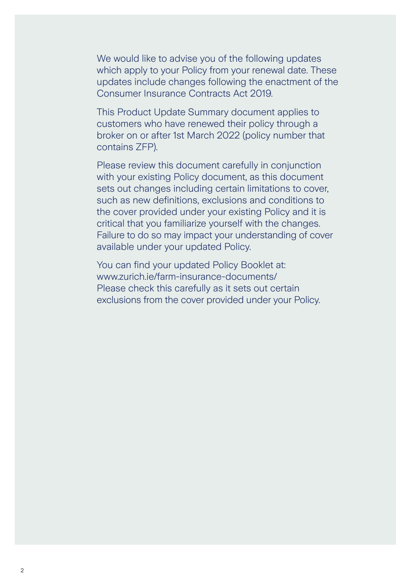We would like to advise you of the following updates which apply to your Policy from your renewal date. These updates include changes following the enactment of the Consumer Insurance Contracts Act 2019.

This Product Update Summary document applies to customers who have renewed their policy through a broker on or after 1st March 2022 (policy number that contains ZFP).

Please review this document carefully in conjunction with your existing Policy document, as this document sets out changes including certain limitations to cover, such as new definitions, exclusions and conditions to the cover provided under your existing Policy and it is critical that you familiarize yourself with the changes. Failure to do so may impact your understanding of cover available under your updated Policy.

You can find your updated Policy Booklet at: www.zurich.ie/farm-insurance-documents/ Please check this carefully as it sets out certain exclusions from the cover provided under your Policy.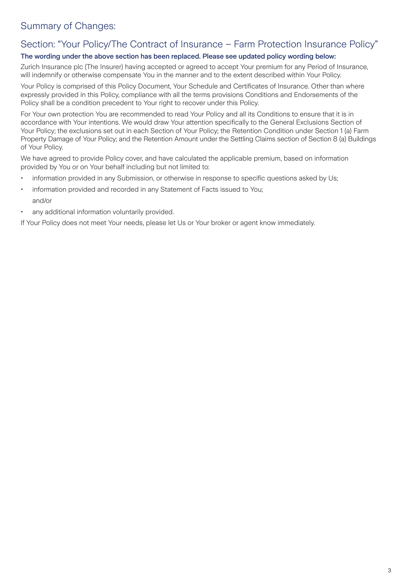# Summary of Changes:

# Section: "Your Policy/The Contract of Insurance – Farm Protection Insurance Policy"

### The wording under the above section has been replaced. Please see updated policy wording below:

Zurich Insurance plc (The Insurer) having accepted or agreed to accept Your premium for any Period of Insurance, will indemnify or otherwise compensate You in the manner and to the extent described within Your Policy.

Your Policy is comprised of this Policy Document, Your Schedule and Certificates of Insurance. Other than where expressly provided in this Policy, compliance with all the terms provisions Conditions and Endorsements of the Policy shall be a condition precedent to Your right to recover under this Policy.

For Your own protection You are recommended to read Your Policy and all its Conditions to ensure that it is in accordance with Your intentions. We would draw Your attention specifically to the General Exclusions Section of Your Policy; the exclusions set out in each Section of Your Policy; the Retention Condition under Section 1 (a) Farm Property Damage of Your Policy; and the Retention Amount under the Settling Claims section of Section 8 (a) Buildings of Your Policy.

We have agreed to provide Policy cover, and have calculated the applicable premium, based on information provided by You or on Your behalf including but not limited to:

- information provided in any Submission, or otherwise in response to specific questions asked by Us;
- information provided and recorded in any Statement of Facts issued to You; and/or
- any additional information voluntarily provided.

If Your Policy does not meet Your needs, please let Us or Your broker or agent know immediately.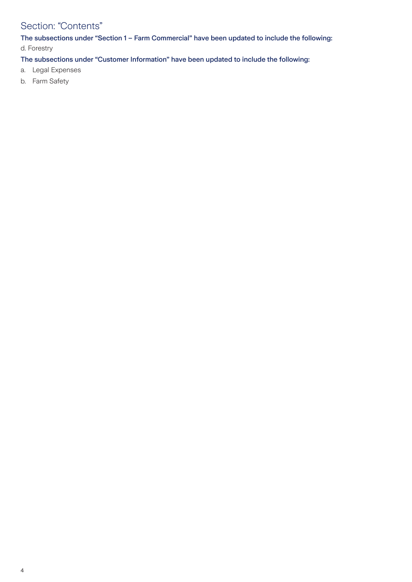# Section: "Contents"

The subsections under "Section 1 – Farm Commercial" have been updated to include the following: d. Forestry

The subsections under "Customer Information" have been updated to include the following:

- a. Legal Expenses
- b. Farm Safety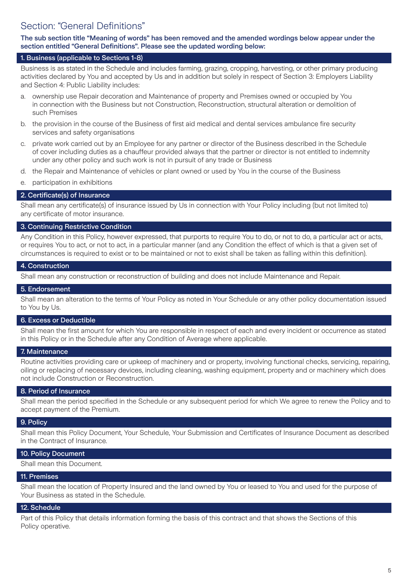The sub section title "Meaning of words" has been removed and the amended wordings below appear under the section entitled "General Definitions". Please see the updated wording below:

#### 1. Business (applicable to Sections 1-8)

Business is as stated in the Schedule and includes farming, grazing, cropping, harvesting, or other primary producing activities declared by You and accepted by Us and in addition but solely in respect of Section 3: Employers Liability and Section 4: Public Liability includes:

- a. ownership use Repair decoration and Maintenance of property and Premises owned or occupied by You in connection with the Business but not Construction, Reconstruction, structural alteration or demolition of such Premises
- b. the provision in the course of the Business of first aid medical and dental services ambulance fire security services and safety organisations
- c. private work carried out by an Employee for any partner or director of the Business described in the Schedule of cover including duties as a chauffeur provided always that the partner or director is not entitled to indemnity under any other policy and such work is not in pursuit of any trade or Business
- d. the Repair and Maintenance of vehicles or plant owned or used by You in the course of the Business
- e. participation in exhibitions

#### 2. Certificate(s) of Insurance

Shall mean any certificate(s) of insurance issued by Us in connection with Your Policy including (but not limited to) any certificate of motor insurance.

#### 3. Continuing Restrictive Condition

Any Condition in this Policy, however expressed, that purports to require You to do, or not to do, a particular act or acts, or requires You to act, or not to act, in a particular manner (and any Condition the effect of which is that a given set of circumstances is required to exist or to be maintained or not to exist shall be taken as falling within this definition).

#### 4. Construction

Shall mean any construction or reconstruction of building and does not include Maintenance and Repair.

#### 5. Endorsement

Shall mean an alteration to the terms of Your Policy as noted in Your Schedule or any other policy documentation issued to You by Us.

#### 6. Excess or Deductible

Shall mean the first amount for which You are responsible in respect of each and every incident or occurrence as stated in this Policy or in the Schedule after any Condition of Average where applicable.

#### 7. Maintenance

Routine activities providing care or upkeep of machinery and or property, involving functional checks, servicing, repairing, oiling or replacing of necessary devices, including cleaning, washing equipment, property and or machinery which does not include Construction or Reconstruction.

#### 8. Period of Insurance

Shall mean the period specified in the Schedule or any subsequent period for which We agree to renew the Policy and to accept payment of the Premium.

#### 9. Policy

Shall mean this Policy Document, Your Schedule, Your Submission and Certificates of Insurance Document as described in the Contract of Insurance.

#### 10. Policy Document

Shall mean this Document.

#### 11. Premises

Shall mean the location of Property Insured and the land owned by You or leased to You and used for the purpose of Your Business as stated in the Schedule.

#### 12. Schedule

Part of this Policy that details information forming the basis of this contract and that shows the Sections of this Policy operative.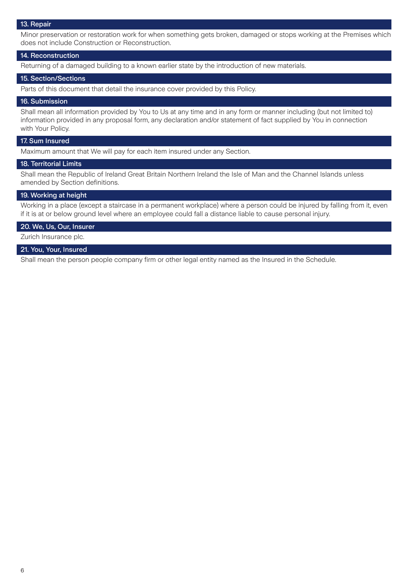#### 13. Repair

Minor preservation or restoration work for when something gets broken, damaged or stops working at the Premises which does not include Construction or Reconstruction.

#### 14. Reconstruction

Returning of a damaged building to a known earlier state by the introduction of new materials.

#### 15. Section/Sections

Parts of this document that detail the insurance cover provided by this Policy.

#### 16. Submission

Shall mean all information provided by You to Us at any time and in any form or manner including (but not limited to) information provided in any proposal form, any declaration and/or statement of fact supplied by You in connection with Your Policy.

#### 17. Sum Insured

Maximum amount that We will pay for each item insured under any Section.

#### 18. Territorial Limits

Shall mean the Republic of Ireland Great Britain Northern Ireland the Isle of Man and the Channel Islands unless amended by Section definitions.

#### 19. Working at height

Working in a place (except a staircase in a permanent workplace) where a person could be injured by falling from it, even if it is at or below ground level where an employee could fall a distance liable to cause personal injury.

#### 20. We, Us, Our, Insurer

Zurich Insurance plc.

#### 21. You, Your, Insured

Shall mean the person people company firm or other legal entity named as the Insured in the Schedule.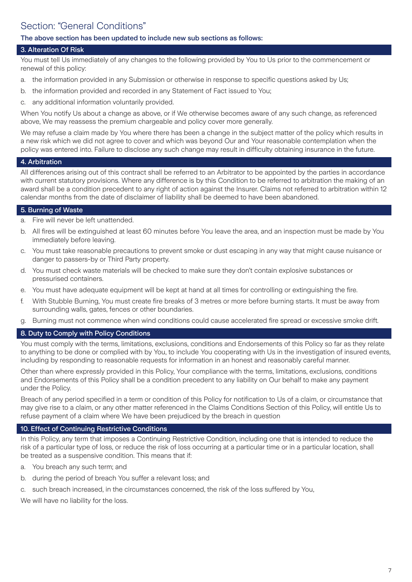# Section: "General Conditions"

#### The above section has been updated to include new sub sections as follows:

#### 3. Alteration Of Risk

You must tell Us immediately of any changes to the following provided by You to Us prior to the commencement or renewal of this policy:

- a. the information provided in any Submission or otherwise in response to specific questions asked by Us;
- b. the information provided and recorded in any Statement of Fact issued to You;
- c. any additional information voluntarily provided.

When You notify Us about a change as above, or if We otherwise becomes aware of any such change, as referenced above, We may reassess the premium chargeable and policy cover more generally.

We may refuse a claim made by You where there has been a change in the subject matter of the policy which results in a new risk which we did not agree to cover and which was beyond Our and Your reasonable contemplation when the policy was entered into. Failure to disclose any such change may result in difficulty obtaining insurance in the future.

#### 4. Arbitration

All differences arising out of this contract shall be referred to an Arbitrator to be appointed by the parties in accordance with current statutory provisions. Where any difference is by this Condition to be referred to arbitration the making of an award shall be a condition precedent to any right of action against the Insurer. Claims not referred to arbitration within 12 calendar months from the date of disclaimer of liability shall be deemed to have been abandoned.

#### 5. Burning of Waste

- a. Fire will never be left unattended.
- b. All fires will be extinguished at least 60 minutes before You leave the area, and an inspection must be made by You immediately before leaving.
- c. You must take reasonable precautions to prevent smoke or dust escaping in any way that might cause nuisance or danger to passers-by or Third Party property.
- d. You must check waste materials will be checked to make sure they don't contain explosive substances or pressurised containers.
- e. You must have adequate equipment will be kept at hand at all times for controlling or extinguishing the fire.
- f. With Stubble Burning, You must create fire breaks of 3 metres or more before burning starts. It must be away from surrounding walls, gates, fences or other boundaries.
- g. Burning must not commence when wind conditions could cause accelerated fire spread or excessive smoke drift.

#### 8. Duty to Comply with Policy Conditions

You must comply with the terms, limitations, exclusions, conditions and Endorsements of this Policy so far as they relate to anything to be done or complied with by You, to include You cooperating with Us in the investigation of insured events, including by responding to reasonable requests for information in an honest and reasonably careful manner.

Other than where expressly provided in this Policy, Your compliance with the terms, limitations, exclusions, conditions and Endorsements of this Policy shall be a condition precedent to any liability on Our behalf to make any payment under the Policy.

Breach of any period specified in a term or condition of this Policy for notification to Us of a claim, or circumstance that may give rise to a claim, or any other matter referenced in the Claims Conditions Section of this Policy, will entitle Us to refuse payment of a claim where We have been prejudiced by the breach in question

#### 10. Effect of Continuing Restrictive Conditions

In this Policy, any term that imposes a Continuing Restrictive Condition, including one that is intended to reduce the risk of a particular type of loss, or reduce the risk of loss occurring at a particular time or in a particular location, shall be treated as a suspensive condition. This means that if:

- a. You breach any such term; and
- b. during the period of breach You suffer a relevant loss; and
- c. such breach increased, in the circumstances concerned, the risk of the loss suffered by You,

We will have no liability for the loss.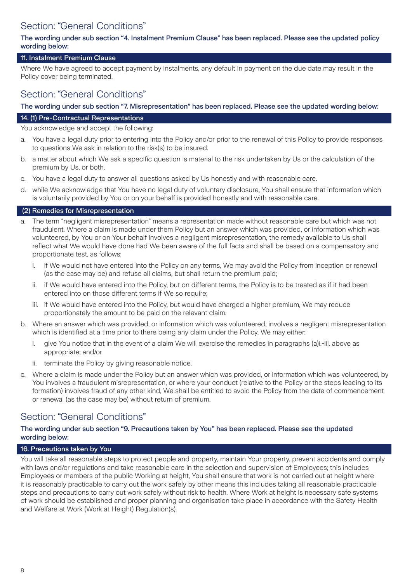# Section: "General Conditions"

#### The wording under sub section "4. Instalment Premium Clause" has been replaced. Please see the updated policy wording below:

#### 11. Instalment Premium Clause

Where We have agreed to accept payment by instalments, any default in payment on the due date may result in the Policy cover being terminated.

### Section: "General Conditions"

#### The wording under sub section "7. Misrepresentation" has been replaced. Please see the updated wording below:

#### 14. (1) Pre-Contractual Representations

You acknowledge and accept the following:

- a. You have a legal duty prior to entering into the Policy and/or prior to the renewal of this Policy to provide responses to questions We ask in relation to the risk(s) to be insured.
- b. a matter about which We ask a specific question is material to the risk undertaken by Us or the calculation of the premium by Us, or both.
- c. You have a legal duty to answer all questions asked by Us honestly and with reasonable care.
- d. while We acknowledge that You have no legal duty of voluntary disclosure, You shall ensure that information which is voluntarily provided by You or on your behalf is provided honestly and with reasonable care.

#### (2) Remedies for Misrepresentation

- a. The term "negligent misrepresentation" means a representation made without reasonable care but which was not fraudulent. Where a claim is made under them Policy but an answer which was provided, or information which was volunteered, by You or on Your behalf involves a negligent misrepresentation, the remedy available to Us shall reflect what We would have done had We been aware of the full facts and shall be based on a compensatory and proportionate test, as follows:
	- if We would not have entered into the Policy on any terms, We may avoid the Policy from inception or renewal (as the case may be) and refuse all claims, but shall return the premium paid;
	- ii. if We would have entered into the Policy, but on different terms, the Policy is to be treated as if it had been entered into on those different terms if We so require;
	- iii. if We would have entered into the Policy, but would have charged a higher premium, We may reduce proportionately the amount to be paid on the relevant claim.
- b. Where an answer which was provided, or information which was volunteered, involves a negligent misrepresentation which is identified at a time prior to there being any claim under the Policy, We may either:
	- i. give You notice that in the event of a claim We will exercise the remedies in paragraphs (a)i.-iii. above as appropriate; and/or
	- ii. terminate the Policy by giving reasonable notice.
- c. Where a claim is made under the Policy but an answer which was provided, or information which was volunteered, by You involves a fraudulent misrepresentation, or where your conduct (relative to the Policy or the steps leading to its formation) involves fraud of any other kind, We shall be entitled to avoid the Policy from the date of commencement or renewal (as the case may be) without return of premium.

### Section: "General Conditions"

#### The wording under sub section "9. Precautions taken by You" has been replaced. Please see the updated wording below:

#### 16. Precautions taken by You

You will take all reasonable steps to protect people and property, maintain Your property, prevent accidents and comply with laws and/or regulations and take reasonable care in the selection and supervision of Employees; this includes Employees or members of the public Working at height, You shall ensure that work is not carried out at height where it is reasonably practicable to carry out the work safely by other means this includes taking all reasonable practicable steps and precautions to carry out work safely without risk to health. Where Work at height is necessary safe systems of work should be established and proper planning and organisation take place in accordance with the Safety Health and Welfare at Work (Work at Height) Regulation(s).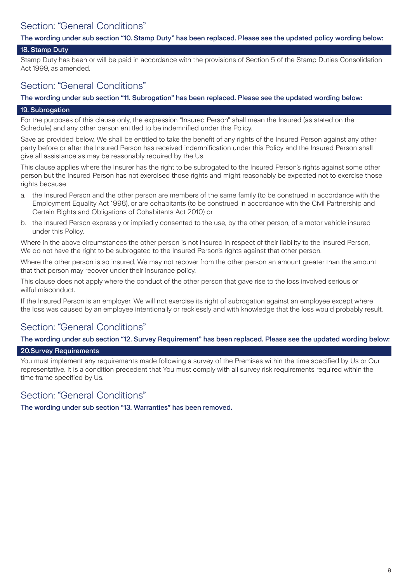# Section: "General Conditions"

The wording under sub section "10. Stamp Duty" has been replaced. Please see the updated policy wording below:

#### 18. Stamp Duty

Stamp Duty has been or will be paid in accordance with the provisions of Section 5 of the Stamp Duties Consolidation Act 1999, as amended.

### Section: "General Conditions"

The wording under sub section "11. Subrogation" has been replaced. Please see the updated wording below:

#### 19. Subrogation

For the purposes of this clause only, the expression "Insured Person" shall mean the Insured (as stated on the Schedule) and any other person entitled to be indemnified under this Policy.

Save as provided below, We shall be entitled to take the benefit of any rights of the Insured Person against any other party before or after the Insured Person has received indemnification under this Policy and the Insured Person shall give all assistance as may be reasonably required by the Us.

This clause applies where the Insurer has the right to be subrogated to the Insured Person's rights against some other person but the Insured Person has not exercised those rights and might reasonably be expected not to exercise those rights because

- a. the Insured Person and the other person are members of the same family (to be construed in accordance with the Employment Equality Act 1998), or are cohabitants (to be construed in accordance with the Civil Partnership and Certain Rights and Obligations of Cohabitants Act 2010) or
- b. the Insured Person expressly or impliedly consented to the use, by the other person, of a motor vehicle insured under this Policy.

Where in the above circumstances the other person is not insured in respect of their liability to the Insured Person, We do not have the right to be subrogated to the Insured Person's rights against that other person.

Where the other person is so insured, We may not recover from the other person an amount greater than the amount that that person may recover under their insurance policy.

This clause does not apply where the conduct of the other person that gave rise to the loss involved serious or wilful misconduct.

If the Insured Person is an employer, We will not exercise its right of subrogation against an employee except where the loss was caused by an employee intentionally or recklessly and with knowledge that the loss would probably result.

# Section: "General Conditions"

The wording under sub section "12. Survey Requirement" has been replaced. Please see the updated wording below:

#### 20.Survey Requirements

You must implement any requirements made following a survey of the Premises within the time specified by Us or Our representative. It is a condition precedent that You must comply with all survey risk requirements required within the time frame specified by Us.

### Section: "General Conditions"

The wording under sub section "13. Warranties" has been removed.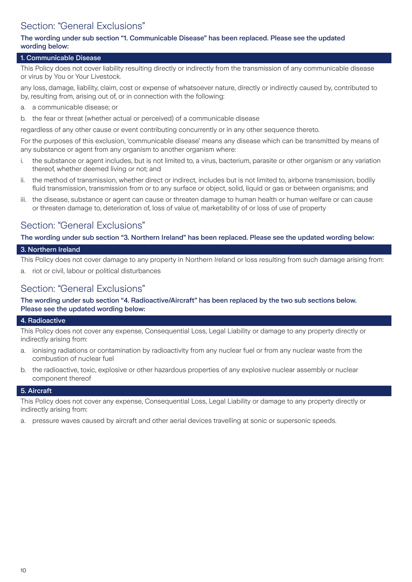# Section: "General Exclusions"

#### The wording under sub section "1. Communicable Disease" has been replaced. Please see the updated wording below:

#### 1. Communicable Disease

This Policy does not cover liability resulting directly or indirectly from the transmission of any communicable disease or virus by You or Your Livestock.

any loss, damage, liability, claim, cost or expense of whatsoever nature, directly or indirectly caused by, contributed to by, resulting from, arising out of, or in connection with the following:

- a. a communicable disease; or
- b. the fear or threat (whether actual or perceived) of a communicable disease

regardless of any other cause or event contributing concurrently or in any other sequence thereto.

For the purposes of this exclusion, 'communicable disease' means any disease which can be transmitted by means of any substance or agent from any organism to another organism where:

- i. the substance or agent includes, but is not limited to, a virus, bacterium, parasite or other organism or any variation thereof, whether deemed living or not; and
- ii. the method of transmission, whether direct or indirect, includes but is not limited to, airborne transmission, bodily fluid transmission, transmission from or to any surface or object, solid, liquid or gas or between organisms; and
- iii. the disease, substance or agent can cause or threaten damage to human health or human welfare or can cause or threaten damage to, deterioration of, loss of value of, marketability of or loss of use of property

### Section: "General Exclusions"

#### The wording under sub section "3. Northern Ireland" has been replaced. Please see the updated wording below:

#### 3. Northern Ireland

This Policy does not cover damage to any property in Northern Ireland or loss resulting from such damage arising from:

a. riot or civil, labour or political disturbances

### Section: "General Exclusions"

#### The wording under sub section "4. Radioactive/Aircraft" has been replaced by the two sub sections below. Please see the updated wording below:

#### 4. Radioactive

This Policy does not cover any expense, Consequential Loss, Legal Liability or damage to any property directly or indirectly arising from:

- a. ionising radiations or contamination by radioactivity from any nuclear fuel or from any nuclear waste from the combustion of nuclear fuel
- b. the radioactive, toxic, explosive or other hazardous properties of any explosive nuclear assembly or nuclear component thereof

#### 5. Aircraft

This Policy does not cover any expense, Consequential Loss, Legal Liability or damage to any property directly or indirectly arising from:

a. pressure waves caused by aircraft and other aerial devices travelling at sonic or supersonic speeds.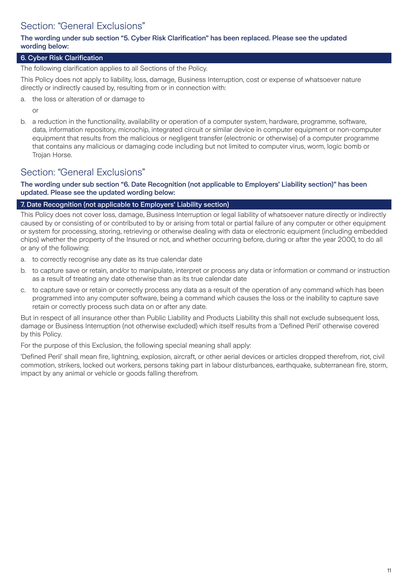# Section: "General Exclusions"

#### The wording under sub section "5. Cyber Risk Clarification" has been replaced. Please see the updated wording below:

#### 6. Cyber Risk Clarification

The following clarification applies to all Sections of the Policy.

This Policy does not apply to liability, loss, damage, Business Interruption, cost or expense of whatsoever nature directly or indirectly caused by, resulting from or in connection with:

a. the loss or alteration of or damage to

or

b. a reduction in the functionality, availability or operation of a computer system, hardware, programme, software, data, information repository, microchip, integrated circuit or similar device in computer equipment or non-computer equipment that results from the malicious or negligent transfer (electronic or otherwise) of a computer programme that contains any malicious or damaging code including but not limited to computer virus, worm, logic bomb or Trojan Horse.

### Section: "General Exclusions"

The wording under sub section "6. Date Recognition (not applicable to Employers' Liability section)" has been updated. Please see the updated wording below:

#### 7. Date Recognition (not applicable to Employers' Liability section)

This Policy does not cover loss, damage, Business Interruption or legal liability of whatsoever nature directly or indirectly caused by or consisting of or contributed to by or arising from total or partial failure of any computer or other equipment or system for processing, storing, retrieving or otherwise dealing with data or electronic equipment (including embedded chips) whether the property of the Insured or not, and whether occurring before, during or after the year 2000, to do all or any of the following:

- a. to correctly recognise any date as its true calendar date
- b. to capture save or retain, and/or to manipulate, interpret or process any data or information or command or instruction as a result of treating any date otherwise than as its true calendar date
- c. to capture save or retain or correctly process any data as a result of the operation of any command which has been programmed into any computer software, being a command which causes the loss or the inability to capture save retain or correctly process such data on or after any date.

But in respect of all insurance other than Public Liability and Products Liability this shall not exclude subsequent loss, damage or Business Interruption (not otherwise excluded) which itself results from a 'Defined Peril' otherwise covered by this Policy.

For the purpose of this Exclusion, the following special meaning shall apply:

'Defined Peril' shall mean fire, lightning, explosion, aircraft, or other aerial devices or articles dropped therefrom, riot, civil commotion, strikers, locked out workers, persons taking part in labour disturbances, earthquake, subterranean fire, storm, impact by any animal or vehicle or goods falling therefrom.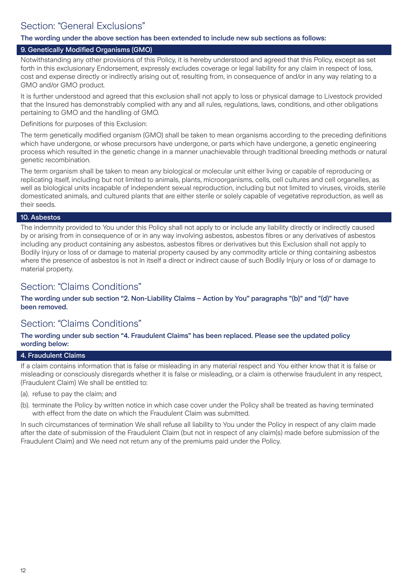# Section: "General Exclusions"

#### The wording under the above section has been extended to include new sub sections as follows:

#### 9. Genetically Modified Organisms (GMO)

Notwithstanding any other provisions of this Policy, it is hereby understood and agreed that this Policy, except as set forth in this exclusionary Endorsement, expressly excludes coverage or legal liability for any claim in respect of loss, cost and expense directly or indirectly arising out of, resulting from, in consequence of and/or in any way relating to a GMO and/or GMO product.

It is further understood and agreed that this exclusion shall not apply to loss or physical damage to Livestock provided that the Insured has demonstrably complied with any and all rules, regulations, laws, conditions, and other obligations pertaining to GMO and the handling of GMO.

Definitions for purposes of this Exclusion:

The term genetically modified organism (GMO) shall be taken to mean organisms according to the preceding definitions which have undergone, or whose precursors have undergone, or parts which have undergone, a genetic engineering process which resulted in the genetic change in a manner unachievable through traditional breeding methods or natural genetic recombination.

The term organism shall be taken to mean any biological or molecular unit either living or capable of reproducing or replicating itself, including but not limited to animals, plants, microorganisms, cells, cell cultures and cell organelles, as well as biological units incapable of independent sexual reproduction, including but not limited to viruses, viroids, sterile domesticated animals, and cultured plants that are either sterile or solely capable of vegetative reproduction, as well as their seeds.

#### 10. Asbestos

The indemnity provided to You under this Policy shall not apply to or include any liability directly or indirectly caused by or arising from in consequence of or in any way involving asbestos, asbestos fibres or any derivatives of asbestos including any product containing any asbestos, asbestos fibres or derivatives but this Exclusion shall not apply to Bodily Injury or loss of or damage to material property caused by any commodity article or thing containing asbestos where the presence of asbestos is not in itself a direct or indirect cause of such Bodily Injury or loss of or damage to material property.

### Section: "Claims Conditions"

The wording under sub section "2. Non-Liability Claims – Action by You" paragraphs "(b)" and "(d)" have been removed.

### Section: "Claims Conditions"

#### The wording under sub section "4. Fraudulent Claims" has been replaced. Please see the updated policy wording below:

#### 4. Fraudulent Claims

If a claim contains information that is false or misleading in any material respect and You either know that it is false or misleading or consciously disregards whether it is false or misleading, or a claim is otherwise fraudulent in any respect, (Fraudulent Claim) We shall be entitled to:

(a). refuse to pay the claim; and

(b). terminate the Policy by written notice in which case cover under the Policy shall be treated as having terminated with effect from the date on which the Fraudulent Claim was submitted.

In such circumstances of termination We shall refuse all liability to You under the Policy in respect of any claim made after the date of submission of the Fraudulent Claim (but not in respect of any claim(s) made before submission of the Fraudulent Claim) and We need not return any of the premiums paid under the Policy.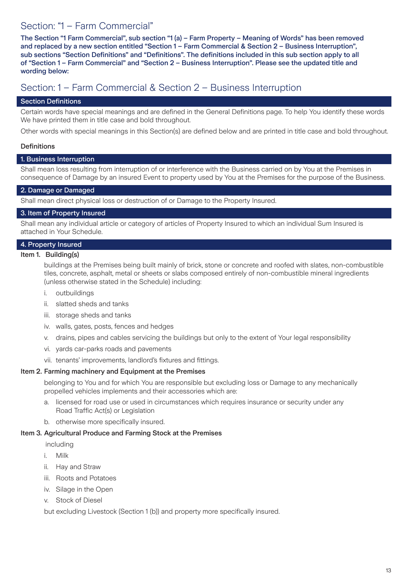### Section: "1 – Farm Commercial"

The Section "1 Farm Commercial", sub section "1 (a) – Farm Property – Meaning of Words" has been removed and replaced by a new section entitled "Section 1 – Farm Commercial & Section 2 – Business Interruption", sub sections "Section Definitions" and "Definitions". The definitions included in this sub section apply to all of "Section 1 – Farm Commercial" and "Section 2 – Business Interruption". Please see the updated title and wording below:

### Section: 1 – Farm Commercial & Section 2 – Business Interruption

#### Section Definitions

Certain words have special meanings and are defined in the General Definitions page. To help You identify these words We have printed them in title case and bold throughout.

Other words with special meanings in this Section(s) are defined below and are printed in title case and bold throughout.

#### **Definitions**

#### 1. Business Interruption

Shall mean loss resulting from interruption of or interference with the Business carried on by You at the Premises in consequence of Damage by an insured Event to property used by You at the Premises for the purpose of the Business.

#### 2. Damage or Damaged

Shall mean direct physical loss or destruction of or Damage to the Property Insured.

### 3. Item of Property Insured

Shall mean any individual article or category of articles of Property Insured to which an individual Sum Insured is attached in Your Schedule.

### 4. Property Insured

#### Item 1. Building(s)

buildings at the Premises being built mainly of brick, stone or concrete and roofed with slates, non-combustible tiles, concrete, asphalt, metal or sheets or slabs composed entirely of non-combustible mineral ingredients (unless otherwise stated in the Schedule) including:

- i. outbuildings
- ii. slatted sheds and tanks
- iii. storage sheds and tanks
- iv. walls, gates, posts, fences and hedges
- v. drains, pipes and cables servicing the buildings but only to the extent of Your legal responsibility
- vi. yards car-parks roads and pavements
- vii. tenants' improvements, landlord's fixtures and fittings.

#### Item 2. Farming machinery and Equipment at the Premises

belonging to You and for which You are responsible but excluding loss or Damage to any mechanically propelled vehicles implements and their accessories which are:

- a. licensed for road use or used in circumstances which requires insurance or security under any Road Traffic Act(s) or Legislation
- b. otherwise more specifically insured.

#### Item 3. Agricultural Produce and Farming Stock at the Premises

including

- i. Milk
- ii. Hay and Straw
- iii. Roots and Potatoes
- iv. Silage in the Open
- v. Stock of Diesel

but excluding Livestock (Section 1 (b)) and property more specifically insured.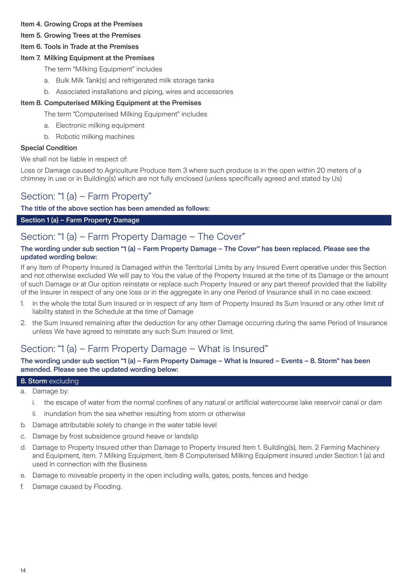#### Item 4. Growing Crops at the Premises

- Item 5. Growing Trees at the Premises
- Item 6. Tools in Trade at the Premises

#### Item 7. Milking Equipment at the Premises

- The term "Milking Equipment" includes
- a. Bulk Milk Tank(s) and refrigerated milk storage tanks
- b. Associated installations and piping, wires and accessories

#### Item 8. Computerised Milking Equipment at the Premises

The term "Computerised Milking Equipment" includes

- a. Electronic milking equipment
- b. Robotic milking machines

#### Special Condition

We shall not be liable in respect of:

Loss or Damage caused to Agriculture Produce Item 3 where such produce is in the open within 20 meters of a chimney in use or in Building(s) which are not fully enclosed (unless specifically agreed and stated by Us)

### Section: "1 (a) – Farm Property"

The title of the above section has been amended as follows:

#### Section 1 (a) – Farm Property Damage

### Section: "1 (a) – Farm Property Damage – The Cover"

#### The wording under sub section "1 (a) – Farm Property Damage – The Cover" has been replaced. Please see the updated wording below:

If any Item of Property Insured is Damaged within the Territorial Limits by any Insured Event operative under this Section and not otherwise excluded We will pay to You the value of the Property Insured at the time of its Damage or the amount of such Damage or at Our option reinstate or replace such Property Insured or any part thereof provided that the liability of the Insurer in respect of any one loss or in the aggregate in any one Period of Insurance shall in no case exceed:

- 1. in the whole the total Sum Insured or in respect of any Item of Property Insured its Sum Insured or any other limit of liability stated in the Schedule at the time of Damage
- 2. the Sum Insured remaining after the deduction for any other Damage occurring during the same Period of Insurance unless We have agreed to reinstate any such Sum Insured or limit.

### Section: "1 (a) – Farm Property Damage – What is Insured"

#### The wording under sub section "1 (a) – Farm Property Damage – What is Insured – Events – 8. Storm" has been amended. Please see the updated wording below:

#### 8. Storm excluding

- a. Damage by:
	- i. the escape of water from the normal confines of any natural or artificial watercourse lake reservoir canal or dam
	- ii. inundation from the sea whether resulting from storm or otherwise
- b. Damage attributable solely to change in the water table level
- c. Damage by frost subsidence ground heave or landslip
- d. Damage to Property Insured other than Damage to Property Insured Item 1. Building(s), Item. 2 Farming Machinery and Equipment, Item. 7 Milking Equipment, Item 8 Computerised Milking Equipment insured under Section 1 (a) and used in connection with the Business
- e. Damage to moveable property in the open including walls, gates, posts, fences and hedge
- f. Damage caused by Flooding.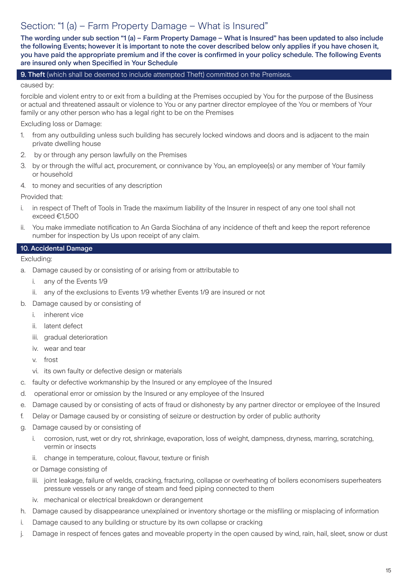### Section: "1 (a) – Farm Property Damage – What is Insured"

The wording under sub section "1 (a) – Farm Property Damage – What is Insured" has been updated to also include the following Events; however it is important to note the cover described below only applies if you have chosen it, you have paid the appropriate premium and if the cover is confirmed in your policy schedule. The following Events are insured only when Specified in Your Schedule

#### 9. Theft (which shall be deemed to include attempted Theft) committed on the Premises.

caused by:

forcible and violent entry to or exit from a building at the Premises occupied by You for the purpose of the Business or actual and threatened assault or violence to You or any partner director employee of the You or members of Your family or any other person who has a legal right to be on the Premises

Excluding loss or Damage:

- 1. from any outbuilding unless such building has securely locked windows and doors and is adjacent to the main private dwelling house
- 2. by or through any person lawfully on the Premises
- 3. by or through the wilful act, procurement, or connivance by You, an employee(s) or any member of Your family or household
- 4. to money and securities of any description

Provided that:

- i. in respect of Theft of Tools in Trade the maximum liability of the Insurer in respect of any one tool shall not exceed €1,500
- ii. You make immediate notification to An Garda Síochána of any incidence of theft and keep the report reference number for inspection by Us upon receipt of any claim.

#### 10. Accidental Damage

Excluding:

- a. Damage caused by or consisting of or arising from or attributable to
	- i. any of the Events 1/9
	- ii. any of the exclusions to Events 1/9 whether Events 1/9 are insured or not
- b. Damage caused by or consisting of
	- i. inherent vice
	- ii. latent defect
	- iii. gradual deterioration
	- iv. wear and tear
	- v. frost
	- vi. its own faulty or defective design or materials
- c. faulty or defective workmanship by the Insured or any employee of the Insured
- d. operational error or omission by the Insured or any employee of the Insured
- e. Damage caused by or consisting of acts of fraud or dishonesty by any partner director or employee of the Insured
- f. Delay or Damage caused by or consisting of seizure or destruction by order of public authority
- g. Damage caused by or consisting of
	- i. corrosion, rust, wet or dry rot, shrinkage, evaporation, loss of weight, dampness, dryness, marring, scratching, vermin or insects
	- ii. change in temperature, colour, flavour, texture or finish

or Damage consisting of

- iii. joint leakage, failure of welds, cracking, fracturing, collapse or overheating of boilers economisers superheaters pressure vessels or any range of steam and feed piping connected to them
- iv. mechanical or electrical breakdown or derangement
- h. Damage caused by disappearance unexplained or inventory shortage or the misfiling or misplacing of information
- i. Damage caused to any building or structure by its own collapse or cracking
- j. Damage in respect of fences gates and moveable property in the open caused by wind, rain, hail, sleet, snow or dust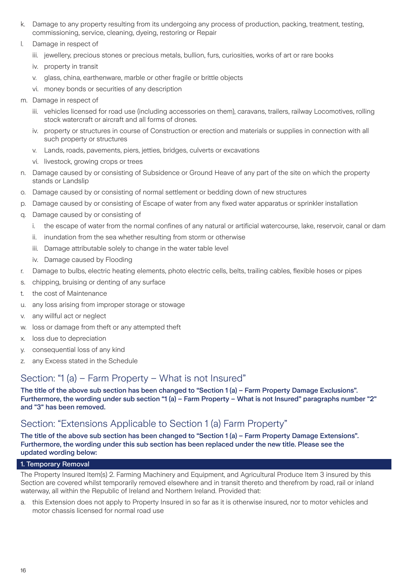- k. Damage to any property resulting from its undergoing any process of production, packing, treatment, testing, commissioning, service, cleaning, dyeing, restoring or Repair
- l. Damage in respect of
	- iii. jewellery, precious stones or precious metals, bullion, furs, curiosities, works of art or rare books
	- iv. property in transit
	- v. glass, china, earthenware, marble or other fragile or brittle objects
	- vi. money bonds or securities of any description
- m. Damage in respect of
	- iii. vehicles licensed for road use (including accessories on them), caravans, trailers, railway Locomotives, rolling stock watercraft or aircraft and all forms of drones.
	- iv. property or structures in course of Construction or erection and materials or supplies in connection with all such property or structures
	- v. Lands, roads, pavements, piers, jetties, bridges, culverts or excavations
	- vi. livestock, growing crops or trees
- n. Damage caused by or consisting of Subsidence or Ground Heave of any part of the site on which the property stands or Landslip
- o. Damage caused by or consisting of normal settlement or bedding down of new structures
- p. Damage caused by or consisting of Escape of water from any fixed water apparatus or sprinkler installation
- q. Damage caused by or consisting of
	- i. the escape of water from the normal confines of any natural or artificial watercourse, lake, reservoir, canal or dam
	- ii. inundation from the sea whether resulting from storm or otherwise
	- iii. Damage attributable solely to change in the water table level
	- iv. Damage caused by Flooding
- r. Damage to bulbs, electric heating elements, photo electric cells, belts, trailing cables, flexible hoses or pipes
- s. chipping, bruising or denting of any surface
- t. the cost of Maintenance
- u. any loss arising from improper storage or stowage
- v. any willful act or neglect
- w. loss or damage from theft or any attempted theft
- x. loss due to depreciation
- y. consequential loss of any kind
- z. any Excess stated in the Schedule

### Section: "1 (a) – Farm Property – What is not Insured"

The title of the above sub section has been changed to "Section 1 (a) – Farm Property Damage Exclusions". Furthermore, the wording under sub section "1 (a) – Farm Property – What is not Insured" paragraphs number "2" and "3" has been removed.

### Section: "Extensions Applicable to Section 1 (a) Farm Property"

The title of the above sub section has been changed to "Section 1 (a) – Farm Property Damage Extensions". Furthermore, the wording under this sub section has been replaced under the new title. Please see the updated wording below:

#### 1. Temporary Removal

The Property Insured Item(s) 2. Farming Machinery and Equipment, and Agricultural Produce Item 3 insured by this Section are covered whilst temporarily removed elsewhere and in transit thereto and therefrom by road, rail or inland waterway, all within the Republic of Ireland and Northern Ireland. Provided that:

a. this Extension does not apply to Property Insured in so far as it is otherwise insured, nor to motor vehicles and motor chassis licensed for normal road use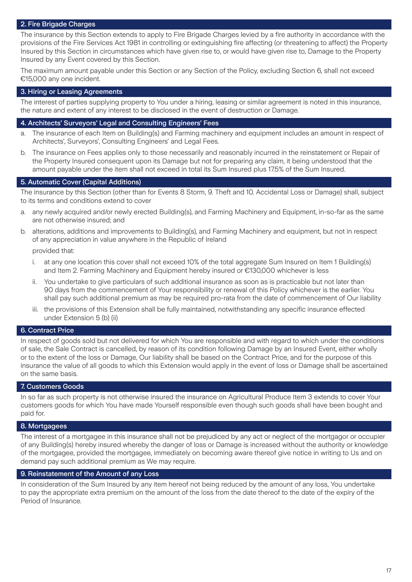#### 2. Fire Brigade Charges

The insurance by this Section extends to apply to Fire Brigade Charges levied by a fire authority in accordance with the provisions of the Fire Services Act 1981 in controlling or extinguishing fire affecting (or threatening to affect) the Property Insured by this Section in circumstances which have given rise to, or would have given rise to, Damage to the Property Insured by any Event covered by this Section.

The maximum amount payable under this Section or any Section of the Policy, excluding Section 6, shall not exceed €15,000 any one incident.

#### 3. Hiring or Leasing Agreements

The interest of parties supplying property to You under a hiring, leasing or similar agreement is noted in this insurance, the nature and extent of any interest to be disclosed in the event of destruction or Damage.

#### 4. Architects' Surveyors' Legal and Consulting Engineers' Fees

- a. The insurance of each Item on Building(s) and Farming machinery and equipment includes an amount in respect of Architects', Surveyors', Consulting Engineers' and Legal Fees.
- b. The insurance on Fees applies only to those necessarily and reasonably incurred in the reinstatement or Repair of the Property Insured consequent upon its Damage but not for preparing any claim, it being understood that the amount payable under the item shall not exceed in total its Sum Insured plus 17.5% of the Sum Insured.

#### 5. Automatic Cover (Capital Additions)

The insurance by this Section (other than for Events 8 Storm, 9. Theft and 10. Accidental Loss or Damage) shall, subject to its terms and conditions extend to cover

- a. any newly acquired and/or newly erected Building(s), and Farming Machinery and Equipment, in-so-far as the same are not otherwise insured; and
- b. alterations, additions and improvements to Building(s), and Farming Machinery and equipment, but not in respect of any appreciation in value anywhere in the Republic of Ireland

provided that:

- i. at any one location this cover shall not exceed 10% of the total aggregate Sum Insured on Item 1 Building(s) and Item 2. Farming Machinery and Equipment hereby insured or €130,000 whichever is less
- ii. You undertake to give particulars of such additional insurance as soon as is practicable but not later than 90 days from the commencement of Your responsibility or renewal of this Policy whichever is the earlier. You shall pay such additional premium as may be required pro-rata from the date of commencement of Our liability
- iii. the provisions of this Extension shall be fully maintained, notwithstanding any specific insurance effected under Extension 5 (b) (ii)

#### 6. Contract Price

In respect of goods sold but not delivered for which You are responsible and with regard to which under the conditions of sale, the Sale Contract is cancelled, by reason of its condition following Damage by an Insured Event, either wholly or to the extent of the loss or Damage, Our liability shall be based on the Contract Price, and for the purpose of this insurance the value of all goods to which this Extension would apply in the event of loss or Damage shall be ascertained on the same basis.

#### 7. Customers Goods

In so far as such property is not otherwise insured the insurance on Agricultural Produce Item 3 extends to cover Your customers goods for which You have made Yourself responsible even though such goods shall have been bought and paid for.

#### 8. Mortgagees

The interest of a mortgagee in this insurance shall not be prejudiced by any act or neglect of the mortgagor or occupier of any Building(s) hereby insured whereby the danger of loss or Damage is increased without the authority or knowledge of the mortgagee, provided the mortgagee, immediately on becoming aware thereof give notice in writing to Us and on demand pay such additional premium as We may require.

#### 9. Reinstatement of the Amount of any Loss

In consideration of the Sum Insured by any item hereof not being reduced by the amount of any loss, You undertake to pay the appropriate extra premium on the amount of the loss from the date thereof to the date of the expiry of the Period of Insurance.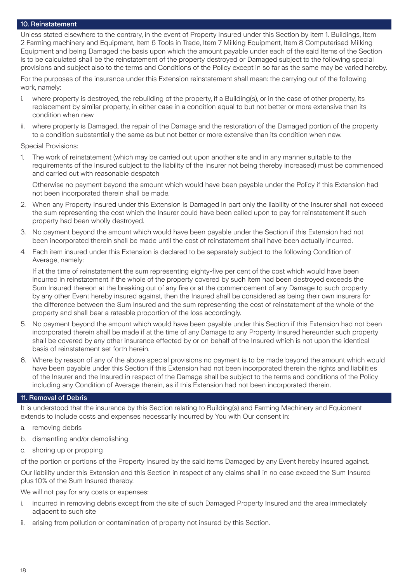#### 10. Reinstatement

Unless stated elsewhere to the contrary, in the event of Property Insured under this Section by Item 1. Buildings, Item 2 Farming machinery and Equipment, Item 6 Tools in Trade, Item 7 Milking Equipment, Item 8 Computerised Milking Equipment and being Damaged the basis upon which the amount payable under each of the said Items of the Section is to be calculated shall be the reinstatement of the property destroyed or Damaged subject to the following special provisions and subject also to the terms and Conditions of the Policy except in so far as the same may be varied hereby.

For the purposes of the insurance under this Extension reinstatement shall mean: the carrying out of the following work, namely:

- i. where property is destroyed, the rebuilding of the property, if a Building(s), or in the case of other property, its replacement by similar property, in either case in a condition equal to but not better or more extensive than its condition when new
- ii. where property is Damaged, the repair of the Damage and the restoration of the Damaged portion of the property to a condition substantially the same as but not better or more extensive than its condition when new.

Special Provisions:

1. The work of reinstatement (which may be carried out upon another site and in any manner suitable to the requirements of the Insured subject to the liability of the Insurer not being thereby increased) must be commenced and carried out with reasonable despatch

Otherwise no payment beyond the amount which would have been payable under the Policy if this Extension had not been incorporated therein shall be made.

- 2. When any Property Insured under this Extension is Damaged in part only the liability of the Insurer shall not exceed the sum representing the cost which the Insurer could have been called upon to pay for reinstatement if such property had been wholly destroyed.
- 3. No payment beyond the amount which would have been payable under the Section if this Extension had not been incorporated therein shall be made until the cost of reinstatement shall have been actually incurred.
- 4. Each item insured under this Extension is declared to be separately subject to the following Condition of Average, namely:

If at the time of reinstatement the sum representing eighty-five per cent of the cost which would have been incurred in reinstatement if the whole of the property covered by such item had been destroyed exceeds the Sum Insured thereon at the breaking out of any fire or at the commencement of any Damage to such property by any other Event hereby insured against, then the Insured shall be considered as being their own insurers for the difference between the Sum Insured and the sum representing the cost of reinstatement of the whole of the property and shall bear a rateable proportion of the loss accordingly.

- 5. No payment beyond the amount which would have been payable under this Section if this Extension had not been incorporated therein shall be made if at the time of any Damage to any Property Insured hereunder such property shall be covered by any other insurance effected by or on behalf of the Insured which is not upon the identical basis of reinstatement set forth herein.
- 6. Where by reason of any of the above special provisions no payment is to be made beyond the amount which would have been payable under this Section if this Extension had not been incorporated therein the rights and liabilities of the Insurer and the Insured in respect of the Damage shall be subject to the terms and conditions of the Policy including any Condition of Average therein, as if this Extension had not been incorporated therein.

#### 11. Removal of Debris

It is understood that the insurance by this Section relating to Building(s) and Farming Machinery and Equipment extends to include costs and expenses necessarily incurred by You with Our consent in:

- a. removing debris
- b. dismantling and/or demolishing
- c. shoring up or propping

of the portion or portions of the Property Insured by the said items Damaged by any Event hereby insured against.

Our liability under this Extension and this Section in respect of any claims shall in no case exceed the Sum Insured plus 10% of the Sum Insured thereby.

We will not pay for any costs or expenses:

- i. incurred in removing debris except from the site of such Damaged Property Insured and the area immediately adjacent to such site
- ii. arising from pollution or contamination of property not insured by this Section.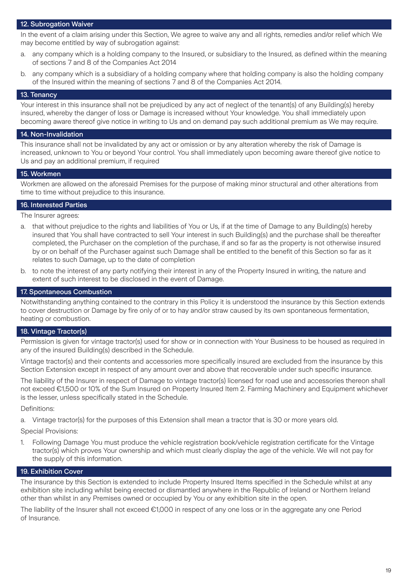#### 12. Subrogation Waiver

In the event of a claim arising under this Section, We agree to waive any and all rights, remedies and/or relief which We may become entitled by way of subrogation against:

- a. any company which is a holding company to the Insured, or subsidiary to the Insured, as defined within the meaning of sections 7 and 8 of the Companies Act 2014
- b. any company which is a subsidiary of a holding company where that holding company is also the holding company of the Insured within the meaning of sections 7 and 8 of the Companies Act 2014.

#### 13. Tenancy

Your interest in this insurance shall not be prejudiced by any act of neglect of the tenant(s) of any Building(s) hereby insured, whereby the danger of loss or Damage is increased without Your knowledge. You shall immediately upon becoming aware thereof give notice in writing to Us and on demand pay such additional premium as We may require.

#### 14. Non-Invalidation

This insurance shall not be invalidated by any act or omission or by any alteration whereby the risk of Damage is increased, unknown to You or beyond Your control. You shall immediately upon becoming aware thereof give notice to Us and pay an additional premium, if required

#### 15. Workmen

Workmen are allowed on the aforesaid Premises for the purpose of making minor structural and other alterations from time to time without prejudice to this insurance.

#### 16. Interested Parties

The Insurer agrees:

- a. that without prejudice to the rights and liabilities of You or Us, if at the time of Damage to any Building(s) hereby insured that You shall have contracted to sell Your interest in such Building(s) and the purchase shall be thereafter completed, the Purchaser on the completion of the purchase, if and so far as the property is not otherwise insured by or on behalf of the Purchaser against such Damage shall be entitled to the benefit of this Section so far as it relates to such Damage, up to the date of completion
- b. to note the interest of any party notifying their interest in any of the Property Insured in writing, the nature and extent of such interest to be disclosed in the event of Damage.

#### 17. Spontaneous Combustion

Notwithstanding anything contained to the contrary in this Policy it is understood the insurance by this Section extends to cover destruction or Damage by fire only of or to hay and/or straw caused by its own spontaneous fermentation, heating or combustion.

#### 18. Vintage Tractor(s)

Permission is given for vintage tractor(s) used for show or in connection with Your Business to be housed as required in any of the insured Building(s) described in the Schedule.

Vintage tractor(s) and their contents and accessories more specifically insured are excluded from the insurance by this Section Extension except in respect of any amount over and above that recoverable under such specific insurance.

The liability of the Insurer in respect of Damage to vintage tractor(s) licensed for road use and accessories thereon shall not exceed €1,500 or 10% of the Sum Insured on Property Insured Item 2. Farming Machinery and Equipment whichever is the lesser, unless specifically stated in the Schedule.

Definitions:

a. Vintage tractor(s) for the purposes of this Extension shall mean a tractor that is 30 or more years old.

Special Provisions:

1. Following Damage You must produce the vehicle registration book/vehicle registration certificate for the Vintage tractor(s) which proves Your ownership and which must clearly display the age of the vehicle. We will not pay for the supply of this information.

#### 19. Exhibition Cover

The insurance by this Section is extended to include Property Insured Items specified in the Schedule whilst at any exhibition site including whilst being erected or dismantled anywhere in the Republic of Ireland or Northern Ireland other than whilst in any Premises owned or occupied by You or any exhibition site in the open.

The liability of the Insurer shall not exceed €1,000 in respect of any one loss or in the aggregate any one Period of Insurance.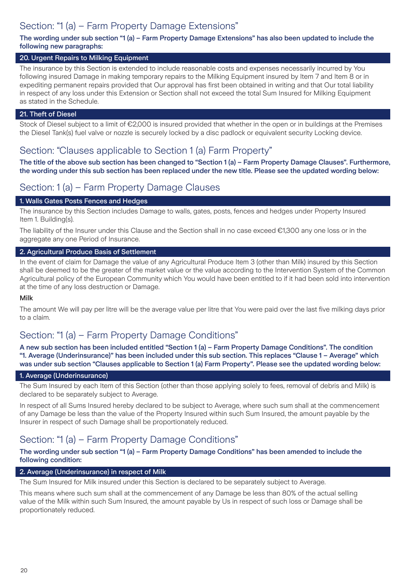# Section: "1 (a) – Farm Property Damage Extensions"

#### The wording under sub section "1 (a) – Farm Property Damage Extensions" has also been updated to include the following new paragraphs:

#### 20. Urgent Repairs to Milking Equipment

The insurance by this Section is extended to include reasonable costs and expenses necessarily incurred by You following insured Damage in making temporary repairs to the Milking Equipment insured by Item 7 and Item 8 or in expediting permanent repairs provided that Our approval has first been obtained in writing and that Our total liability in respect of any loss under this Extension or Section shall not exceed the total Sum Insured for Milking Equipment as stated in the Schedule.

#### 21. Theft of Diesel

Stock of Diesel subject to a limit of €2,000 is insured provided that whether in the open or in buildings at the Premises the Diesel Tank(s) fuel valve or nozzle is securely locked by a disc padlock or equivalent security Locking device.

### Section: "Clauses applicable to Section 1 (a) Farm Property"

The title of the above sub section has been changed to "Section 1 (a) – Farm Property Damage Clauses". Furthermore, the wording under this sub section has been replaced under the new title. Please see the updated wording below:

### Section: 1 (a) – Farm Property Damage Clauses

#### 1. Walls Gates Posts Fences and Hedges

The insurance by this Section includes Damage to walls, gates, posts, fences and hedges under Property Insured Item 1. Building(s).

The liability of the Insurer under this Clause and the Section shall in no case exceed €1,300 any one loss or in the aggregate any one Period of Insurance.

#### 2. Agricultural Produce Basis of Settlement

In the event of claim for Damage the value of any Agricultural Produce Item 3 (other than Milk) insured by this Section shall be deemed to be the greater of the market value or the value according to the Intervention System of the Common Agricultural policy of the European Community which You would have been entitled to if it had been sold into intervention at the time of any loss destruction or Damage.

#### Milk

The amount We will pay per litre will be the average value per litre that You were paid over the last five milking days prior to a claim.

### Section: "1 (a) – Farm Property Damage Conditions"

A new sub section has been included entitled "Section 1 (a) – Farm Property Damage Conditions". The condition "1. Average (Underinsurance)" has been included under this sub section. This replaces "Clause 1 – Average" which was under sub section "Clauses applicable to Section 1 (a) Farm Property". Please see the updated wording below:

#### 1. Average (Underinsurance)

The Sum Insured by each Item of this Section (other than those applying solely to fees, removal of debris and Milk) is declared to be separately subject to Average.

In respect of all Sums Insured hereby declared to be subject to Average, where such sum shall at the commencement of any Damage be less than the value of the Property Insured within such Sum Insured, the amount payable by the Insurer in respect of such Damage shall be proportionately reduced.

### Section: "1 (a) – Farm Property Damage Conditions"

The wording under sub section "1 (a) – Farm Property Damage Conditions" has been amended to include the following condition:

#### 2. Average (Underinsurance) in respect of Milk

The Sum Insured for Milk insured under this Section is declared to be separately subject to Average.

This means where such sum shall at the commencement of any Damage be less than 80% of the actual selling value of the Milk within such Sum Insured, the amount payable by Us in respect of such loss or Damage shall be proportionately reduced.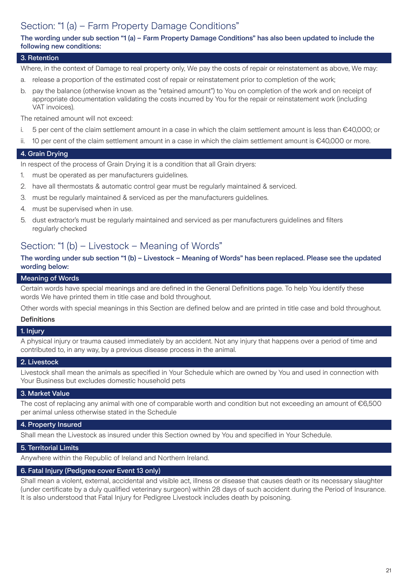# Section: "1 (a) – Farm Property Damage Conditions"

#### The wording under sub section "1 (a) – Farm Property Damage Conditions" has also been updated to include the following new conditions:

#### 3. Retention

Where, in the context of Damage to real property only, We pay the costs of repair or reinstatement as above, We may:

- a. release a proportion of the estimated cost of repair or reinstatement prior to completion of the work;
- b. pay the balance (otherwise known as the "retained amount") to You on completion of the work and on receipt of appropriate documentation validating the costs incurred by You for the repair or reinstatement work (including VAT invoices).

The retained amount will not exceed:

- i. 5 per cent of the claim settlement amount in a case in which the claim settlement amount is less than €40,000; or
- ii. 10 per cent of the claim settlement amount in a case in which the claim settlement amount is €40,000 or more.

#### 4. Grain Drying

In respect of the process of Grain Drying it is a condition that all Grain dryers:

- 1. must be operated as per manufacturers guidelines.
- 2. have all thermostats & automatic control gear must be regularly maintained & serviced.
- 3. must be regularly maintained & serviced as per the manufacturers guidelines.
- 4. must be supervised when in use.
- 5. dust extractor's must be regularly maintained and serviced as per manufacturers guidelines and filters regularly checked

### Section: "1 (b) – Livestock – Meaning of Words"

#### The wording under sub section "1 (b) – Livestock – Meaning of Words" has been replaced. Please see the updated wording below:

#### Meaning of Words

Certain words have special meanings and are defined in the General Definitions page. To help You identify these words We have printed them in title case and bold throughout.

Other words with special meanings in this Section are defined below and are printed in title case and bold throughout.

#### **Definitions**

#### 1. Injury

A physical injury or trauma caused immediately by an accident. Not any injury that happens over a period of time and contributed to, in any way, by a previous disease process in the animal.

#### 2. Livestock

Livestock shall mean the animals as specified in Your Schedule which are owned by You and used in connection with Your Business but excludes domestic household pets

#### 3. Market Value

The cost of replacing any animal with one of comparable worth and condition but not exceeding an amount of  $\epsilon$ 6,500 per animal unless otherwise stated in the Schedule

#### 4. Property Insured

Shall mean the Livestock as insured under this Section owned by You and specified in Your Schedule.

#### 5. Territorial Limits

Anywhere within the Republic of Ireland and Northern Ireland.

#### 6. Fatal Injury (Pedigree cover Event 13 only)

Shall mean a violent, external, accidental and visible act, illness or disease that causes death or its necessary slaughter (under certificate by a duly qualified veterinary surgeon) within 28 days of such accident during the Period of Insurance. It is also understood that Fatal Injury for Pedigree Livestock includes death by poisoning.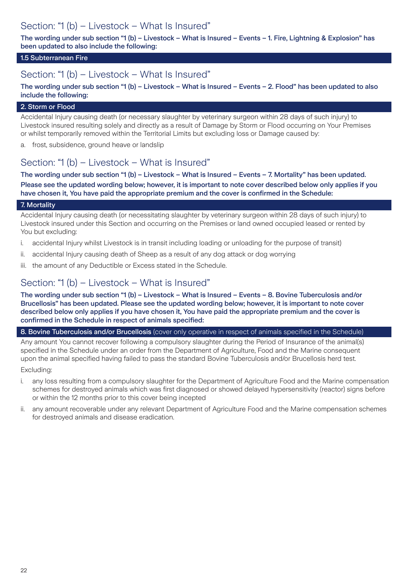### Section: "1 (b) – Livestock – What Is Insured"

The wording under sub section "1 (b) – Livestock – What is Insured – Events – 1. Fire, Lightning & Explosion" has been updated to also include the following:

#### 1.5 Subterranean Fire

### Section: "1 (b) – Livestock – What Is Insured"

The wording under sub section "1 (b) – Livestock – What is Insured – Events – 2. Flood" has been updated to also include the following:

#### 2. Storm or Flood

Accidental Injury causing death (or necessary slaughter by veterinary surgeon within 28 days of such injury) to Livestock insured resulting solely and directly as a result of Damage by Storm or Flood occurring on Your Premises or whilst temporarily removed within the Territorial Limits but excluding loss or Damage caused by:

a. frost, subsidence, ground heave or landslip

### Section: "1 (b) – Livestock – What is Insured"

The wording under sub section "1 (b) – Livestock – What is Insured – Events – 7. Mortality" has been updated. Please see the updated wording below; however, it is important to note cover described below only applies if you have chosen it, You have paid the appropriate premium and the cover is confirmed in the Schedule:

#### 7. Mortality

Accidental Injury causing death (or necessitating slaughter by veterinary surgeon within 28 days of such injury) to Livestock insured under this Section and occurring on the Premises or land owned occupied leased or rented by You but excluding:

- i. accidental Injury whilst Livestock is in transit including loading or unloading for the purpose of transit)
- ii. accidental Injury causing death of Sheep as a result of any dog attack or dog worrying
- iii. the amount of any Deductible or Excess stated in the Schedule.

### Section: "1 (b) – Livestock – What is Insured"

The wording under sub section "1 (b) – Livestock – What is Insured – Events – 8. Bovine Tuberculosis and/or Brucellosis" has been updated. Please see the updated wording below; however, it is important to note cover described below only applies if you have chosen it, You have paid the appropriate premium and the cover is confirmed in the Schedule in respect of animals specified:

#### 8. Bovine Tuberculosis and/or Brucellosis (cover only operative in respect of animals specified in the Schedule)

Any amount You cannot recover following a compulsory slaughter during the Period of Insurance of the animal(s) specified in the Schedule under an order from the Department of Agriculture, Food and the Marine consequent upon the animal specified having failed to pass the standard Bovine Tuberculosis and/or Brucellosis herd test. Excluding:

i. any loss resulting from a compulsory slaughter for the Department of Agriculture Food and the Marine compensation schemes for destroyed animals which was first diagnosed or showed delayed hypersensitivity (reactor) signs before or within the 12 months prior to this cover being incepted

any amount recoverable under any relevant Department of Agriculture Food and the Marine compensation schemes for destroyed animals and disease eradication.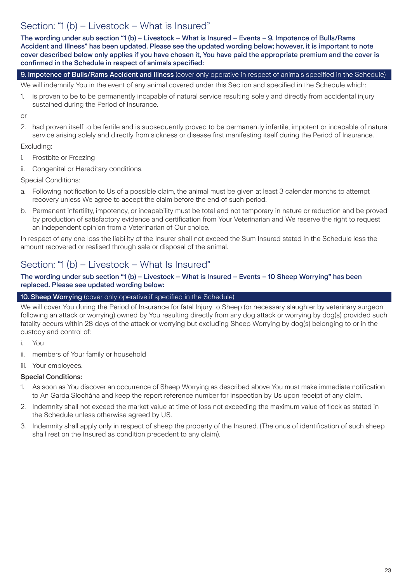### Section: "1 (b) – Livestock – What is Insured"

The wording under sub section "1 (b) – Livestock – What is Insured – Events – 9. Impotence of Bulls/Rams Accident and Illness" has been updated. Please see the updated wording below; however, it is important to note cover described below only applies if you have chosen it, You have paid the appropriate premium and the cover is confirmed in the Schedule in respect of animals specified:

#### 9. Impotence of Bulls/Rams Accident and Illness (cover only operative in respect of animals specified in the Schedule)

We will indemnify You in the event of any animal covered under this Section and specified in the Schedule which:

1. is proven to be to be permanently incapable of natural service resulting solely and directly from accidental injury sustained during the Period of Insurance.

or

2. had proven itself to be fertile and is subsequently proved to be permanently infertile, impotent or incapable of natural service arising solely and directly from sickness or disease first manifesting itself during the Period of Insurance.

#### Excluding:

- i. Frostbite or Freezing
- ii. Congenital or Hereditary conditions.

Special Conditions:

- a. Following notification to Us of a possible claim, the animal must be given at least 3 calendar months to attempt recovery unless We agree to accept the claim before the end of such period.
- b. Permanent infertility, impotency, or incapability must be total and not temporary in nature or reduction and be proved by production of satisfactory evidence and certification from Your Veterinarian and We reserve the right to request an independent opinion from a Veterinarian of Our choice.

In respect of any one loss the liability of the Insurer shall not exceed the Sum Insured stated in the Schedule less the amount recovered or realised through sale or disposal of the animal.

### Section: "1 (b) – Livestock – What Is Insured"

#### The wording under sub section "1 (b) – Livestock – What is Insured – Events – 10 Sheep Worrying" has been replaced. Please see updated wording below:

#### 10. Sheep Worrying (cover only operative if specified in the Schedule)

We will cover You during the Period of Insurance for fatal Injury to Sheep (or necessary slaughter by veterinary surgeon following an attack or worrying) owned by You resulting directly from any dog attack or worrying by dog(s) provided such fatality occurs within 28 days of the attack or worrying but excluding Sheep Worrying by dog(s) belonging to or in the custody and control of:

- i. You
- ii. members of Your family or household
- iii. Your employees.

#### Special Conditions:

- 1. As soon as You discover an occurrence of Sheep Worrying as described above You must make immediate notification to An Garda Síochána and keep the report reference number for inspection by Us upon receipt of any claim.
- 2. Indemnity shall not exceed the market value at time of loss not exceeding the maximum value of flock as stated in the Schedule unless otherwise agreed by US.
- 3. Indemnity shall apply only in respect of sheep the property of the Insured. (The onus of identification of such sheep shall rest on the Insured as condition precedent to any claim).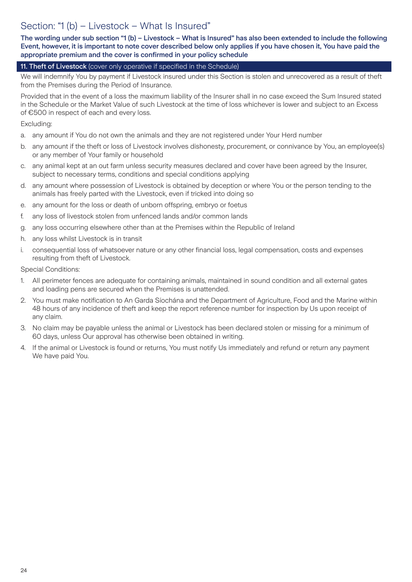### Section: "1 (b) – Livestock – What Is Insured"

The wording under sub section "1 (b) – Livestock – What is Insured" has also been extended to include the following Event, however, it is important to note cover described below only applies if you have chosen it, You have paid the appropriate premium and the cover is confirmed in your policy schedule

#### 11. Theft of Livestock (cover only operative if specified in the Schedule)

We will indemnify You by payment if Livestock insured under this Section is stolen and unrecovered as a result of theft from the Premises during the Period of Insurance.

Provided that in the event of a loss the maximum liability of the Insurer shall in no case exceed the Sum Insured stated in the Schedule or the Market Value of such Livestock at the time of loss whichever is lower and subject to an Excess of €500 in respect of each and every loss.

Excluding:

- a. any amount if You do not own the animals and they are not registered under Your Herd number
- b. any amount if the theft or loss of Livestock involves dishonesty, procurement, or connivance by You, an employee(s) or any member of Your family or household
- c. any animal kept at an out farm unless security measures declared and cover have been agreed by the Insurer, subject to necessary terms, conditions and special conditions applying
- d. any amount where possession of Livestock is obtained by deception or where You or the person tending to the animals has freely parted with the Livestock, even if tricked into doing so
- e. any amount for the loss or death of unborn offspring, embryo or foetus
- f. any loss of livestock stolen from unfenced lands and/or common lands
- g. any loss occurring elsewhere other than at the Premises within the Republic of Ireland
- h. any loss whilst Livestock is in transit
- i. consequential loss of whatsoever nature or any other financial loss, legal compensation, costs and expenses resulting from theft of Livestock.

Special Conditions:

- 1. All perimeter fences are adequate for containing animals, maintained in sound condition and all external gates and loading pens are secured when the Premises is unattended.
- 2. You must make notification to An Garda Síochána and the Department of Agriculture, Food and the Marine within 48 hours of any incidence of theft and keep the report reference number for inspection by Us upon receipt of any claim.
- 3. No claim may be payable unless the animal or Livestock has been declared stolen or missing for a minimum of 60 days, unless Our approval has otherwise been obtained in writing.
- 4. If the animal or Livestock is found or returns, You must notify Us immediately and refund or return any payment We have paid You.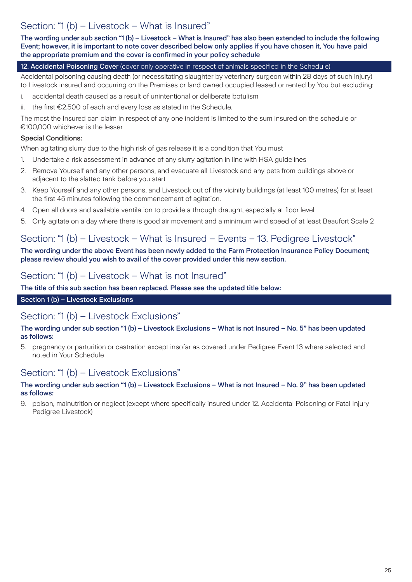# Section: "1 (b) – Livestock – What is Insured"

The wording under sub section "1 (b) – Livestock – What is Insured" has also been extended to include the following Event; however, it is important to note cover described below only applies if you have chosen it, You have paid the appropriate premium and the cover is confirmed in your policy schedule

#### 12. Accidental Poisoning Cover (cover only operative in respect of animals specified in the Schedule)

Accidental poisoning causing death (or necessitating slaughter by veterinary surgeon within 28 days of such injury) to Livestock insured and occurring on the Premises or land owned occupied leased or rented by You but excluding:

- i. accidental death caused as a result of unintentional or deliberate botulism
- ii. the first €2,500 of each and every loss as stated in the Schedule.

The most the Insured can claim in respect of any one incident is limited to the sum insured on the schedule or €100,000 whichever is the lesser

#### Special Conditions:

When agitating slurry due to the high risk of gas release it is a condition that You must

- 1. Undertake a risk assessment in advance of any slurry agitation in line with HSA guidelines
- 2. Remove Yourself and any other persons, and evacuate all Livestock and any pets from buildings above or adjacent to the slatted tank before you start
- 3. Keep Yourself and any other persons, and Livestock out of the vicinity buildings (at least 100 metres) for at least the first 45 minutes following the commencement of agitation.
- 4. Open all doors and available ventilation to provide a through draught, especially at floor level
- 5. Only agitate on a day where there is good air movement and a minimum wind speed of at least Beaufort Scale 2

### Section: "1 (b) – Livestock – What is Insured – Events – 13. Pedigree Livestock"

The wording under the above Event has been newly added to the Farm Protection Insurance Policy Document; please review should you wish to avail of the cover provided under this new section.

### Section: "1 (b) – Livestock – What is not Insured"

#### The title of this sub section has been replaced. Please see the updated title below:

### Section 1 (b) – Livestock Exclusions

### Section: "1 (b) – Livestock Exclusions"

#### The wording under sub section "1 (b) – Livestock Exclusions – What is not Insured – No. 5" has been updated as follows:

5. pregnancy or parturition or castration except insofar as covered under Pedigree Event 13 where selected and noted in Your Schedule

### Section: "1 (b) – Livestock Exclusions"

#### The wording under sub section "1 (b) – Livestock Exclusions – What is not Insured – No. 9" has been updated as follows:

9. poison, malnutrition or neglect (except where specifically insured under 12. Accidental Poisoning or Fatal Injury Pedigree Livestock)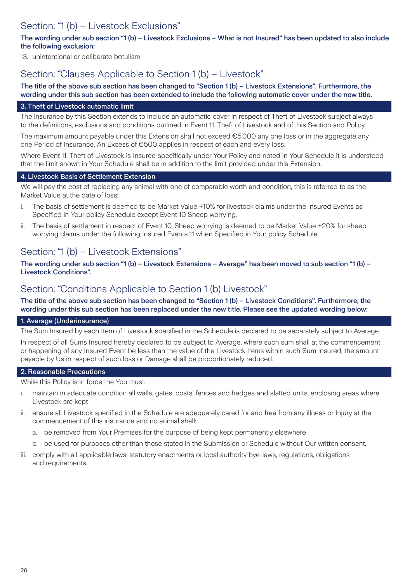### Section: "1 (b) – Livestock Exclusions"

#### The wording under sub section "1 (b) – Livestock Exclusions – What is not Insured" has been updated to also include the following exclusion:

13. unintentional or deliberate botulism

### Section: "Clauses Applicable to Section 1 (b) – Livestock"

#### The title of the above sub section has been changed to "Section 1 (b) – Livestock Extensions". Furthermore, the wording under this sub section has been extended to include the following automatic cover under the new title.

#### 3. Theft of Livestock automatic limit

The insurance by this Section extends to include an automatic cover in respect of Theft of Livestock subject always to the definitions, exclusions and conditions outlined in Event 11. Theft of Livestock and of this Section and Policy.

The maximum amount payable under this Extension shall not exceed €5,000 any one loss or in the aggregate any one Period of Insurance. An Excess of €500 applies in respect of each and every loss.

Where Event 11. Theft of Livestock is Insured specifically under Your Policy and noted in Your Schedule it is understood that the limit shown in Your Schedule shall be in addition to the limit provided under this Extension.

#### 4. Livestock Basis of Settlement Extension

We will pay the cost of replacing any animal with one of comparable worth and condition, this is referred to as the Market Value at the date of loss:

- i. The basis of settlement is deemed to be Market Value +10% for livestock claims under the Insured Events as Specified in Your policy Schedule except Event 10 Sheep worrying.
- ii. The basis of settlement in respect of Event 10. Sheep worrying is deemed to be Market Value +20% for sheep worrying claims under the following Insured Events 11 when Specified in Your policy Schedule

### Section: "1 (b) – Livestock Extensions"

The wording under sub section "1 (b) – Livestock Extensions – Average" has been moved to sub section "1 (b) – Livestock Conditions".

### Section: "Conditions Applicable to Section 1 (b) Livestock"

The title of the above sub section has been changed to "Section 1 (b) – Livestock Conditions". Furthermore, the wording under this sub section has been replaced under the new title. Please see the updated wording below:

#### 1. Average (Underinsurance)

The Sum Insured by each Item of Livestock specified in the Schedule is declared to be separately subject to Average.

In respect of all Sums Insured hereby declared to be subject to Average, where such sum shall at the commencement or happening of any Insured Event be less than the value of the Livestock Items within such Sum Insured, the amount payable by Us in respect of such loss or Damage shall be proportionately reduced.

#### 2. Reasonable Precautions

While this Policy is in force the You must:

- i. maintain in adequate condition all walls, gates, posts, fences and hedges and slatted units, enclosing areas where Livestock are kept
- ii. ensure all Livestock specified in the Schedule are adequately cared for and free from any illness or Injury at the commencement of this insurance and no animal shall:
	- a. be removed from Your Premises for the purpose of being kept permanently elsewhere
	- b. be used for purposes other than those stated in the Submission or Schedule without Our written consent.
- iii. comply with all applicable laws, statutory enactments or local authority bye-laws, regulations, obligations and requirements.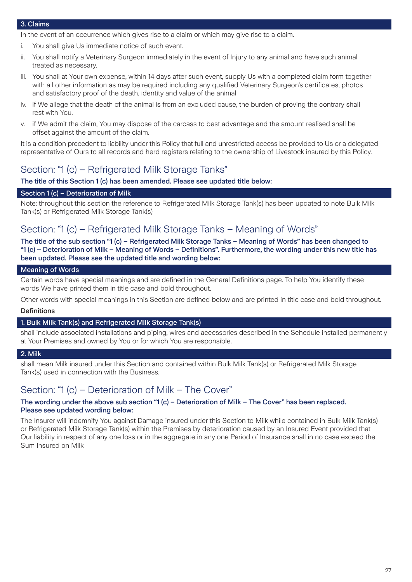#### 3. Claims

In the event of an occurrence which gives rise to a claim or which may give rise to a claim.

- i. You shall give Us immediate notice of such event.
- ii. You shall notify a Veterinary Surgeon immediately in the event of Injury to any animal and have such animal treated as necessary.
- iii. You shall at Your own expense, within 14 days after such event, supply Us with a completed claim form together with all other information as may be required including any qualified Veterinary Surgeon's certificates, photos and satisfactory proof of the death, identity and value of the animal
- iv. if We allege that the death of the animal is from an excluded cause, the burden of proving the contrary shall rest with You.
- v. if We admit the claim, You may dispose of the carcass to best advantage and the amount realised shall be offset against the amount of the claim.

It is a condition precedent to liability under this Policy that full and unrestricted access be provided to Us or a delegated representative of Ours to all records and herd registers relating to the ownership of Livestock insured by this Policy.

### Section: "1 (c) – Refrigerated Milk Storage Tanks"

#### The title of this Section 1 (c) has been amended. Please see updated title below:

#### Section 1 (c) – Deterioration of Milk

Note: throughout this section the reference to Refrigerated Milk Storage Tank(s) has been updated to note Bulk Milk Tank(s) or Refrigerated Milk Storage Tank(s)

### Section: "1 (c) – Refrigerated Milk Storage Tanks – Meaning of Words"

The title of the sub section "1 (c) – Refrigerated Milk Storage Tanks – Meaning of Words" has been changed to "1 (c) – Deterioration of Milk – Meaning of Words – Definitions". Furthermore, the wording under this new title has been updated. Please see the updated title and wording below:

#### Meaning of Words

Certain words have special meanings and are defined in the General Definitions page. To help You identify these words We have printed them in title case and bold throughout.

Other words with special meanings in this Section are defined below and are printed in title case and bold throughout.

#### **Definitions**

#### 1. Bulk Milk Tank(s) and Refrigerated Milk Storage Tank(s)

shall include associated installations and piping, wires and accessories described in the Schedule installed permanently at Your Premises and owned by You or for which You are responsible.

#### 2. Milk

shall mean Milk insured under this Section and contained within Bulk Milk Tank(s) or Refrigerated Milk Storage Tank(s) used in connection with the Business.

### Section: "1 (c) – Deterioration of Milk – The Cover"

#### The wording under the above sub section "1 (c) – Deterioration of Milk – The Cover" has been replaced. Please see updated wording below:

The Insurer will indemnify You against Damage insured under this Section to Milk while contained in Bulk Milk Tank(s) or Refrigerated Milk Storage Tank(s) within the Premises by deterioration caused by an Insured Event provided that Our liability in respect of any one loss or in the aggregate in any one Period of Insurance shall in no case exceed the Sum Insured on Milk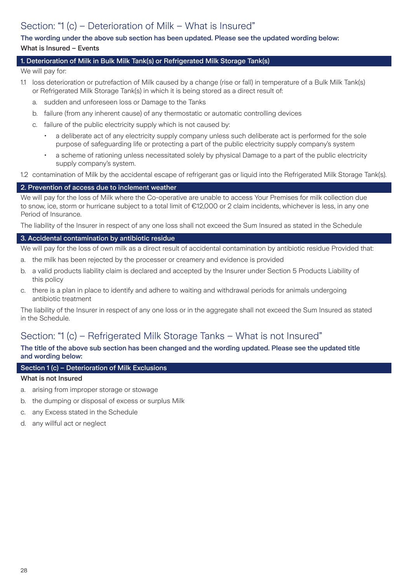# Section: "1 (c) – Deterioration of Milk – What is Insured"

#### The wording under the above sub section has been updated. Please see the updated wording below: What is Insured – Events

#### 1. Deterioration of Milk in Bulk Milk Tank(s) or Refrigerated Milk Storage Tank(s)

We will pay for:

- 1.1 loss deterioration or putrefaction of Milk caused by a change (rise or fall) in temperature of a Bulk Milk Tank(s) or Refrigerated Milk Storage Tank(s) in which it is being stored as a direct result of:
	- a. sudden and unforeseen loss or Damage to the Tanks
	- b. failure (from any inherent cause) of any thermostatic or automatic controlling devices
	- c. failure of the public electricity supply which is not caused by:
		- a deliberate act of any electricity supply company unless such deliberate act is performed for the sole purpose of safeguarding life or protecting a part of the public electricity supply company's system
		- a scheme of rationing unless necessitated solely by physical Damage to a part of the public electricity supply company's system.
- 1.2 contamination of Milk by the accidental escape of refrigerant gas or liquid into the Refrigerated Milk Storage Tank(s).

#### 2. Prevention of access due to inclement weather

We will pay for the loss of Milk where the Co-operative are unable to access Your Premises for milk collection due to snow, ice, storm or hurricane subject to a total limit of €12,000 or 2 claim incidents, whichever is less, in any one Period of Insurance.

The liability of the Insurer in respect of any one loss shall not exceed the Sum Insured as stated in the Schedule

#### 3. Accidental contamination by antibiotic residue

We will pay for the loss of own milk as a direct result of accidental contamination by antibiotic residue Provided that:

- a. the milk has been rejected by the processer or creamery and evidence is provided
- b. a valid products liability claim is declared and accepted by the Insurer under Section 5 Products Liability of this policy
- c. there is a plan in place to identify and adhere to waiting and withdrawal periods for animals undergoing antibiotic treatment

The liability of the Insurer in respect of any one loss or in the aggregate shall not exceed the Sum Insured as stated in the Schedule.

### Section: "1 (c) – Refrigerated Milk Storage Tanks – What is not Insured"

#### The title of the above sub section has been changed and the wording updated. Please see the updated title and wording below:

#### Section 1 (c) – Deterioration of Milk Exclusions

#### What is not Insured

- a. arising from improper storage or stowage
- b. the dumping or disposal of excess or surplus Milk
- c. any Excess stated in the Schedule
- d. any willful act or neglect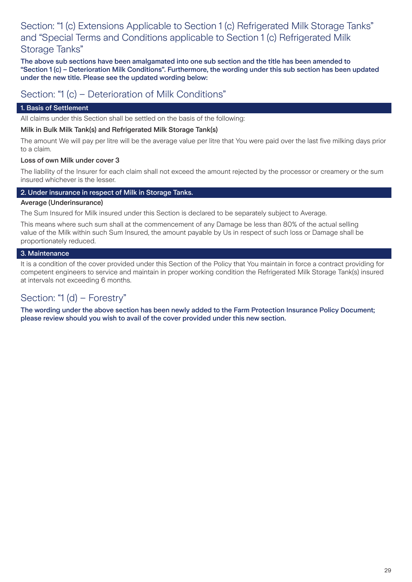### Section: "1 (c) Extensions Applicable to Section 1 (c) Refrigerated Milk Storage Tanks" and "Special Terms and Conditions applicable to Section 1 (c) Refrigerated Milk Storage Tanks"

The above sub sections have been amalgamated into one sub section and the title has been amended to "Section 1 (c) – Deterioration Milk Conditions". Furthermore, the wording under this sub section has been updated under the new title. Please see the updated wording below:

### Section: "1 (c) – Deterioration of Milk Conditions"

### 1. Basis of Settlement

All claims under this Section shall be settled on the basis of the following:

#### Milk in Bulk Milk Tank(s) and Refrigerated Milk Storage Tank(s)

The amount We will pay per litre will be the average value per litre that You were paid over the last five milking days prior to a claim.

#### Loss of own Milk under cover 3

The liability of the Insurer for each claim shall not exceed the amount rejected by the processor or creamery or the sum insured whichever is the lesser.

#### 2. Under insurance in respect of Milk in Storage Tanks.

#### Average (Underinsurance)

The Sum Insured for Milk insured under this Section is declared to be separately subject to Average.

This means where such sum shall at the commencement of any Damage be less than 80% of the actual selling value of the Milk within such Sum Insured, the amount payable by Us in respect of such loss or Damage shall be proportionately reduced.

#### 3. Maintenance

It is a condition of the cover provided under this Section of the Policy that You maintain in force a contract providing for competent engineers to service and maintain in proper working condition the Refrigerated Milk Storage Tank(s) insured at intervals not exceeding 6 months.

### Section: "1 (d) – Forestry"

The wording under the above section has been newly added to the Farm Protection Insurance Policy Document; please review should you wish to avail of the cover provided under this new section.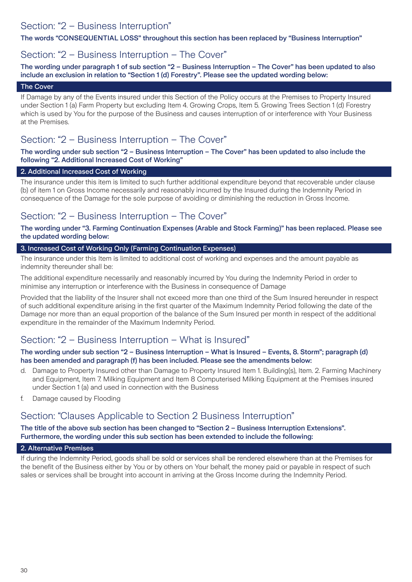### Section: "2 – Business Interruption"

The words "CONSEQUENTIAL LOSS" throughout this section has been replaced by "Business Interruption"

### Section: "2 – Business Interruption – The Cover"

The wording under paragraph 1 of sub section "2 – Business Interruption – The Cover" has been updated to also include an exclusion in relation to "Section 1 (d) Forestry". Please see the updated wording below:

#### The Cover

If Damage by any of the Events insured under this Section of the Policy occurs at the Premises to Property Insured under Section 1 (a) Farm Property but excluding Item 4. Growing Crops, Item 5. Growing Trees Section 1 (d) Forestry which is used by You for the purpose of the Business and causes interruption of or interference with Your Business at the Premises.

### Section: "2 – Business Interruption – The Cover"

The wording under sub section "2 – Business Interruption – The Cover" has been updated to also include the following "2. Additional Increased Cost of Working"

#### 2. Additional Increased Cost of Working

The insurance under this item is limited to such further additional expenditure beyond that recoverable under clause (b) of item 1 on Gross Income necessarily and reasonably incurred by the Insured during the Indemnity Period in consequence of the Damage for the sole purpose of avoiding or diminishing the reduction in Gross Income.

### Section: "2 – Business Interruption – The Cover"

The wording under "3. Farming Continuation Expenses (Arable and Stock Farming)" has been replaced. Please see the updated wording below:

#### 3. Increased Cost of Working Only (Farming Continuation Expenses)

The insurance under this Item is limited to additional cost of working and expenses and the amount payable as indemnity thereunder shall be:

The additional expenditure necessarily and reasonably incurred by You during the Indemnity Period in order to minimise any interruption or interference with the Business in consequence of Damage

Provided that the liability of the Insurer shall not exceed more than one third of the Sum Insured hereunder in respect of such additional expenditure arising in the first quarter of the Maximum Indemnity Period following the date of the Damage nor more than an equal proportion of the balance of the Sum Insured per month in respect of the additional expenditure in the remainder of the Maximum Indemnity Period.

### Section: "2 – Business Interruption – What is Insured"

#### The wording under sub section "2 – Business Interruption – What is Insured – Events, 8. Storm"; paragraph (d) has been amended and paragraph (f) has been included. Please see the amendments below:

- d. Damage to Property Insured other than Damage to Property Insured Item 1. Building(s), Item. 2. Farming Machinery and Equipment, Item 7. Milking Equipment and Item 8 Computerised Milking Equipment at the Premises insured under Section 1 (a) and used in connection with the Business
- f. Damage caused by Flooding

### Section: "Clauses Applicable to Section 2 Business Interruption"

The title of the above sub section has been changed to "Section 2 – Business Interruption Extensions". Furthermore, the wording under this sub section has been extended to include the following:

#### 2. Alternative Premises

If during the Indemnity Period, goods shall be sold or services shall be rendered elsewhere than at the Premises for the benefit of the Business either by You or by others on Your behalf, the money paid or payable in respect of such sales or services shall be brought into account in arriving at the Gross Income during the Indemnity Period.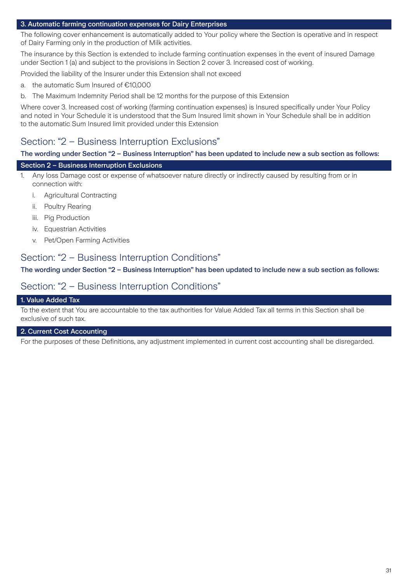#### 3. Automatic farming continuation expenses for Dairy Enterprises

The following cover enhancement is automatically added to Your policy where the Section is operative and in respect of Dairy Farming only in the production of Milk activities.

The insurance by this Section is extended to include farming continuation expenses in the event of insured Damage under Section 1 (a) and subject to the provisions in Section 2 cover 3. Increased cost of working.

Provided the liability of the Insurer under this Extension shall not exceed

- a. the automatic Sum Insured of €10,000
- b. The Maximum Indemnity Period shall be 12 months for the purpose of this Extension

Where cover 3. Increased cost of working (farming continuation expenses) is Insured specifically under Your Policy and noted in Your Schedule it is understood that the Sum Insured limit shown in Your Schedule shall be in addition to the automatic Sum Insured limit provided under this Extension

### Section: "2 – Business Interruption Exclusions"

#### The wording under Section "2 – Business Interruption" has been updated to include new a sub section as follows:

#### Section 2 – Business Interruption Exclusions

- 1. Any loss Damage cost or expense of whatsoever nature directly or indirectly caused by resulting from or in connection with:
	- i. Agricultural Contracting
	- ii. Poultry Rearing
	- iii. Pig Production
	- iv. Equestrian Activities
	- v. Pet/Open Farming Activities

### Section: "2 – Business Interruption Conditions"

The wording under Section "2 – Business Interruption" has been updated to include new a sub section as follows:

### Section: "2 – Business Interruption Conditions"

#### 1. Value Added Tax

To the extent that You are accountable to the tax authorities for Value Added Tax all terms in this Section shall be exclusive of such tax.

#### 2. Current Cost Accounting

For the purposes of these Definitions, any adjustment implemented in current cost accounting shall be disregarded.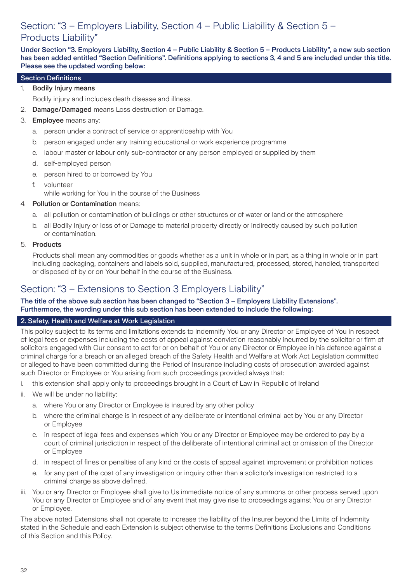# Section: "3 – Employers Liability, Section 4 – Public Liability & Section 5 – Products Liability"

Under Section "3. Employers Liability, Section 4 – Public Liability & Section 5 – Products Liability", a new sub section has been added entitled "Section Definitions". Definitions applying to sections 3, 4 and 5 are included under this title. Please see the updated wording below:

#### Section Definitions

1. Bodily Injury means

Bodily injury and includes death disease and illness.

2. Damage/Damaged means Loss destruction or Damage.

#### 3. **Employee** means any:

- a. person under a contract of service or apprenticeship with You
- b. person engaged under any training educational or work experience programme
- c. labour master or labour only sub-contractor or any person employed or supplied by them
- d. self-employed person
- e. person hired to or borrowed by You
- f. volunteer
	- while working for You in the course of the Business
- 4. Pollution or Contamination means:
	- a. all pollution or contamination of buildings or other structures or of water or land or the atmosphere
	- b. all Bodily Injury or loss of or Damage to material property directly or indirectly caused by such pollution or contamination.

#### 5. Products

Products shall mean any commodities or goods whether as a unit in whole or in part, as a thing in whole or in part including packaging, containers and labels sold, supplied, manufactured, processed, stored, handled, transported or disposed of by or on Your behalf in the course of the Business.

### Section: "3 – Extensions to Section 3 Employers Liability"

#### The title of the above sub section has been changed to "Section 3 – Employers Liability Extensions". Furthermore, the wording under this sub section has been extended to include the following:

#### 2. Safety, Health and Welfare at Work Legislation

This policy subject to its terms and limitations extends to indemnify You or any Director or Employee of You in respect of legal fees or expenses including the costs of appeal against conviction reasonably incurred by the solicitor or firm of solicitors engaged with Our consent to act for or on behalf of You or any Director or Employee in his defence against a criminal charge for a breach or an alleged breach of the Safety Health and Welfare at Work Act Legislation committed or alleged to have been committed during the Period of Insurance including costs of prosecution awarded against such Director or Employee or You arising from such proceedings provided always that:

- i. this extension shall apply only to proceedings brought in a Court of Law in Republic of Ireland
- ii. We will be under no liability:
	- a. where You or any Director or Employee is insured by any other policy
	- b. where the criminal charge is in respect of any deliberate or intentional criminal act by You or any Director or Employee
	- c. in respect of legal fees and expenses which You or any Director or Employee may be ordered to pay by a court of criminal jurisdiction in respect of the deliberate of intentional criminal act or omission of the Director or Employee
	- d. in respect of fines or penalties of any kind or the costs of appeal against improvement or prohibition notices
	- e. for any part of the cost of any investigation or inquiry other than a solicitor's investigation restricted to a criminal charge as above defined.
- iii. You or any Director or Employee shall give to Us immediate notice of any summons or other process served upon You or any Director or Employee and of any event that may give rise to proceedings against You or any Director or Employee.

The above noted Extensions shall not operate to increase the liability of the Insurer beyond the Limits of Indemnity stated in the Schedule and each Extension is subject otherwise to the terms Definitions Exclusions and Conditions of this Section and this Policy.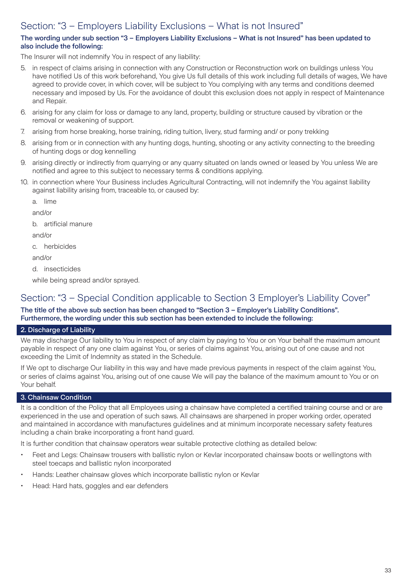# Section: "3 – Employers Liability Exclusions – What is not Insured"

#### The wording under sub section "3 – Employers Liability Exclusions – What is not Insured" has been updated to also include the following:

The Insurer will not indemnify You in respect of any liability:

- 5. in respect of claims arising in connection with any Construction or Reconstruction work on buildings unless You have notified Us of this work beforehand, You give Us full details of this work including full details of wages, We have agreed to provide cover, in which cover, will be subject to You complying with any terms and conditions deemed necessary and imposed by Us. For the avoidance of doubt this exclusion does not apply in respect of Maintenance and Repair.
- 6. arising for any claim for loss or damage to any land, property, building or structure caused by vibration or the removal or weakening of support.
- 7. arising from horse breaking, horse training, riding tuition, livery, stud farming and/ or pony trekking
- 8. arising from or in connection with any hunting dogs, hunting, shooting or any activity connecting to the breeding of hunting dogs or dog kennelling
- 9. arising directly or indirectly from quarrying or any quarry situated on lands owned or leased by You unless We are notified and agree to this subject to necessary terms & conditions applying.
- 10. in connection where Your Business includes Agricultural Contracting, will not indemnify the You against liability against liability arising from, traceable to, or caused by:

a. lime

and/or

b. artificial manure

and/or

c. herbicides

and/or

d. insecticides

while being spread and/or sprayed.

### Section: "3 – Special Condition applicable to Section 3 Employer's Liability Cover"

The title of the above sub section has been changed to "Section 3 – Employer's Liability Conditions". Furthermore, the wording under this sub section has been extended to include the following:

#### 2. Discharge of Liability

We may discharge Our liability to You in respect of any claim by paying to You or on Your behalf the maximum amount payable in respect of any one claim against You, or series of claims against You, arising out of one cause and not exceeding the Limit of Indemnity as stated in the Schedule.

If We opt to discharge Our liability in this way and have made previous payments in respect of the claim against You, or series of claims against You, arising out of one cause We will pay the balance of the maximum amount to You or on Your behalf.

### 3. Chainsaw Condition

It is a condition of the Policy that all Employees using a chainsaw have completed a certified training course and or are experienced in the use and operation of such saws. All chainsaws are sharpened in proper working order, operated and maintained in accordance with manufactures guidelines and at minimum incorporate necessary safety features including a chain brake incorporating a front hand guard.

It is further condition that chainsaw operators wear suitable protective clothing as detailed below:

- Feet and Legs: Chainsaw trousers with ballistic nylon or Kevlar incorporated chainsaw boots or wellingtons with steel toecaps and ballistic nylon incorporated
- Hands: Leather chainsaw gloves which incorporate ballistic nylon or Kevlar
- Head: Hard hats, goggles and ear defenders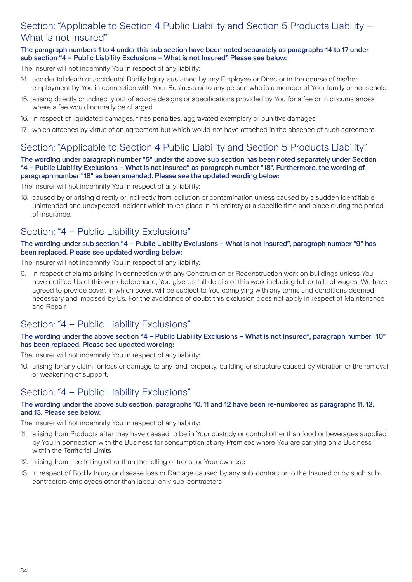# Section: "Applicable to Section 4 Public Liability and Section 5 Products Liability – What is not Insured"

#### The paragraph numbers 1 to 4 under this sub section have been noted separately as paragraphs 14 to 17 under sub section "4 – Public Liability Exclusions – What is not Insured" Please see below:

The Insurer will not indemnify You in respect of any liability:

- 14. accidental death or accidental Bodily Injury, sustained by any Employee or Director in the course of his/her employment by You in connection with Your Business or to any person who is a member of Your family or household
- 15. arising directly or indirectly out of advice designs or specifications provided by You for a fee or in circumstances where a fee would normally be charged
- 16. in respect of liquidated damages, fines penalties, aggravated exemplary or punitive damages
- 17. which attaches by virtue of an agreement but which would not have attached in the absence of such agreement

# Section: "Applicable to Section 4 Public Liability and Section 5 Products Liability"

#### The wording under paragraph number "5" under the above sub section has been noted separately under Section "4 – Public Liability Exclusions – What is not Insured" as paragraph number "18". Furthermore, the wording of paragraph number "18" as been amended. Please see the updated wording below:

The Insurer will not indemnify You in respect of any liability:

18. caused by or arising directly or indirectly from pollution or contamination unless caused by a sudden identifiable, unintended and unexpected incident which takes place in its entirety at a specific time and place during the period of insurance.

### Section: "4 – Public Liability Exclusions"

#### The wording under sub section "4 – Public Liability Exclusions – What is not Insured", paragraph number "9" has been replaced. Please see updated wording below:

The Insurer will not indemnify You in respect of any liability:

9. in respect of claims arising in connection with any Construction or Reconstruction work on buildings unless You have notified Us of this work beforehand, You give Us full details of this work including full details of wages, We have agreed to provide cover, in which cover, will be subject to You complying with any terms and conditions deemed necessary and imposed by Us. For the avoidance of doubt this exclusion does not apply in respect of Maintenance and Repair.

# Section: "4 – Public Liability Exclusions"

#### The wording under the above section "4 – Public Liability Exclusions – What is not Insured", paragraph number "10" has been replaced. Please see updated wording:

The Insurer will not indemnify You in respect of any liability:

10. arising for any claim for loss or damage to any land, property, building or structure caused by vibration or the removal or weakening of support.

# Section: "4 – Public Liability Exclusions"

#### The wording under the above sub section, paragraphs 10, 11 and 12 have been re-numbered as paragraphs 11, 12, and 13. Please see below:

The Insurer will not indemnify You in respect of any liability:

- 11. arising from Products after they have ceased to be in Your custody or control other than food or beverages supplied by You in connection with the Business for consumption at any Premises where You are carrying on a Business within the Territorial Limits
- 12. arising from tree felling other than the felling of trees for Your own use
- 13. in respect of Bodily Injury or disease loss or Damage caused by any sub-contractor to the Insured or by such subcontractors employees other than labour only sub-contractors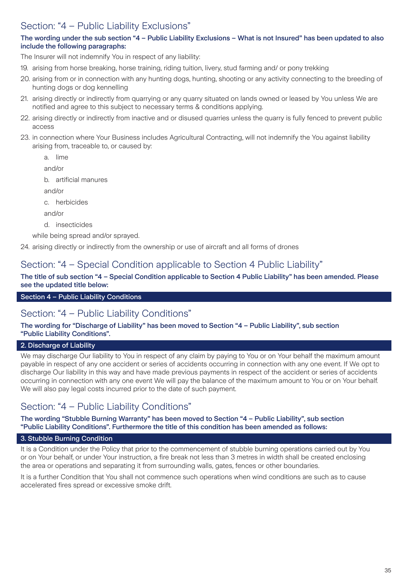# Section: "4 – Public Liability Exclusions"

### The wording under the sub section "4 – Public Liability Exclusions – What is not Insured" has been updated to also include the following paragraphs:

The Insurer will not indemnify You in respect of any liability:

- 19. arising from horse breaking, horse training, riding tuition, livery, stud farming and/ or pony trekking
- 20. arising from or in connection with any hunting dogs, hunting, shooting or any activity connecting to the breeding of hunting dogs or dog kennelling
- 21. arising directly or indirectly from quarrying or any quarry situated on lands owned or leased by You unless We are notified and agree to this subject to necessary terms & conditions applying.
- 22. arising directly or indirectly from inactive and or disused quarries unless the quarry is fully fenced to prevent public access
- 23. in connection where Your Business includes Agricultural Contracting, will not indemnify the You against liability arising from, traceable to, or caused by:
	- a. lime

and/or

b. artificial manures

and/or

c. herbicides

and/or

d. insecticides

while being spread and/or sprayed.

24. arising directly or indirectly from the ownership or use of aircraft and all forms of drones

### Section: "4 – Special Condition applicable to Section 4 Public Liability"

#### The title of sub section "4 – Special Condition applicable to Section 4 Public Liability" has been amended. Please see the updated title below:

#### Section 4 – Public Liability Conditions

### Section: "4 – Public Liability Conditions"

#### The wording for "Discharge of Liability" has been moved to Section "4 – Public Liability", sub section "Public Liability Conditions".

#### 2. Discharge of Liability

We may discharge Our liability to You in respect of any claim by paying to You or on Your behalf the maximum amount payable in respect of any one accident or series of accidents occurring in connection with any one event. If We opt to discharge Our liability in this way and have made previous payments in respect of the accident or series of accidents occurring in connection with any one event We will pay the balance of the maximum amount to You or on Your behalf. We will also pay legal costs incurred prior to the date of such payment.

### Section: "4 – Public Liability Conditions"

#### The wording "Stubble Burning Warranty" has been moved to Section "4 – Public Liability", sub section "Public Liability Conditions". Furthermore the title of this condition has been amended as follows:

#### 3. Stubble Burning Condition

It is a Condition under the Policy that prior to the commencement of stubble burning operations carried out by You or on Your behalf, or under Your instruction, a fire break not less than 3 metres in width shall be created enclosing the area or operations and separating it from surrounding walls, gates, fences or other boundaries.

It is a further Condition that You shall not commence such operations when wind conditions are such as to cause accelerated fires spread or excessive smoke drift.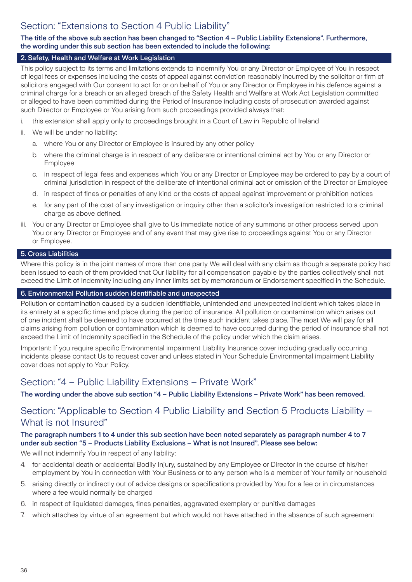# Section: "Extensions to Section 4 Public Liability"

#### The title of the above sub section has been changed to "Section 4 – Public Liability Extensions". Furthermore, the wording under this sub section has been extended to include the following:

#### 2. Safety, Health and Welfare at Work Legislation

This policy subject to its terms and limitations extends to indemnify You or any Director or Employee of You in respect of legal fees or expenses including the costs of appeal against conviction reasonably incurred by the solicitor or firm of solicitors engaged with Our consent to act for or on behalf of You or any Director or Employee in his defence against a criminal charge for a breach or an alleged breach of the Safety Health and Welfare at Work Act Legislation committed or alleged to have been committed during the Period of Insurance including costs of prosecution awarded against such Director or Employee or You arising from such proceedings provided always that:

- i. this extension shall apply only to proceedings brought in a Court of Law in Republic of Ireland
- ii. We will be under no liability:
	- a. where You or any Director or Employee is insured by any other policy
	- b. where the criminal charge is in respect of any deliberate or intentional criminal act by You or any Director or Employee
	- c. in respect of legal fees and expenses which You or any Director or Employee may be ordered to pay by a court of criminal jurisdiction in respect of the deliberate of intentional criminal act or omission of the Director or Employee
	- d. in respect of fines or penalties of any kind or the costs of appeal against improvement or prohibition notices
	- e. for any part of the cost of any investigation or inquiry other than a solicitor's investigation restricted to a criminal charge as above defined.
- iii. You or any Director or Employee shall give to Us immediate notice of any summons or other process served upon You or any Director or Employee and of any event that may give rise to proceedings against You or any Director or Employee.

#### 5. Cross Liabilities

Where this policy is in the joint names of more than one party We will deal with any claim as though a separate policy had been issued to each of them provided that Our liability for all compensation payable by the parties collectively shall not exceed the Limit of Indemnity including any inner limits set by memorandum or Endorsement specified in the Schedule.

#### 6. Environmental Pollution sudden identifiable and unexpected

Pollution or contamination caused by a sudden identifiable, unintended and unexpected incident which takes place in its entirety at a specific time and place during the period of insurance. All pollution or contamination which arises out of one incident shall be deemed to have occurred at the time such incident takes place. The most We will pay for all claims arising from pollution or contamination which is deemed to have occurred during the period of insurance shall not exceed the Limit of Indemnity specified in the Schedule of the policy under which the claim arises.

Important: If you require specific Environmental impairment Liability Insurance cover including gradually occurring incidents please contact Us to request cover and unless stated in Your Schedule Environmental impairment Liability cover does not apply to Your Policy.

### Section: "4 – Public Liability Extensions – Private Work"

The wording under the above sub section "4 – Public Liability Extensions – Private Work" has been removed.

### Section: "Applicable to Section 4 Public Liability and Section 5 Products Liability – What is not Insured"

#### The paragraph numbers 1 to 4 under this sub section have been noted separately as paragraph number 4 to 7 under sub section "5 – Products Liability Exclusions – What is not Insured". Please see below:

We will not indemnify You in respect of any liability:

- 4. for accidental death or accidental Bodily Injury, sustained by any Employee or Director in the course of his/her employment by You in connection with Your Business or to any person who is a member of Your family or household
- 5. arising directly or indirectly out of advice designs or specifications provided by You for a fee or in circumstances where a fee would normally be charged
- 6. in respect of liquidated damages, fines penalties, aggravated exemplary or punitive damages
- 7. which attaches by virtue of an agreement but which would not have attached in the absence of such agreement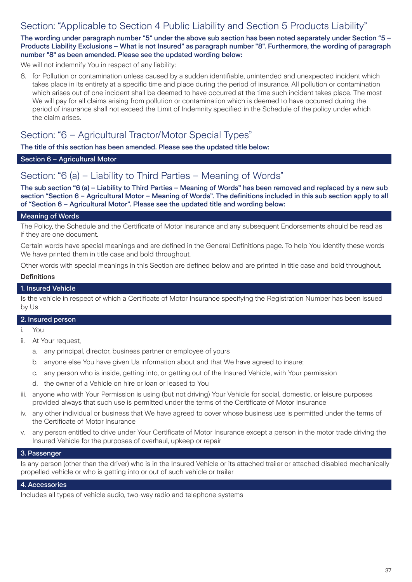### Section: "Applicable to Section 4 Public Liability and Section 5 Products Liability"

The wording under paragraph number "5" under the above sub section has been noted separately under Section "5 – Products Liability Exclusions – What is not Insured" as paragraph number "8". Furthermore, the wording of paragraph number "8" as been amended. Please see the updated wording below:

We will not indemnify You in respect of any liability:

8. for Pollution or contamination unless caused by a sudden identifiable, unintended and unexpected incident which takes place in its entirety at a specific time and place during the period of insurance. All pollution or contamination which arises out of one incident shall be deemed to have occurred at the time such incident takes place. The most We will pay for all claims arising from pollution or contamination which is deemed to have occurred during the period of insurance shall not exceed the Limit of Indemnity specified in the Schedule of the policy under which the claim arises.

# Section: "6 – Agricultural Tractor/Motor Special Types"

The title of this section has been amended. Please see the updated title below:

#### Section 6 – Agricultural Motor

### Section: "6 (a) – Liability to Third Parties – Meaning of Words"

The sub section "6 (a) – Liability to Third Parties – Meaning of Words" has been removed and replaced by a new sub section "Section 6 – Agricultural Motor – Meaning of Words". The definitions included in this sub section apply to all of "Section 6 – Agricultural Motor". Please see the updated title and wording below:

#### Meaning of Words

The Policy, the Schedule and the Certificate of Motor Insurance and any subsequent Endorsements should be read as if they are one document.

Certain words have special meanings and are defined in the General Definitions page. To help You identify these words We have printed them in title case and bold throughout.

Other words with special meanings in this Section are defined below and are printed in title case and bold throughout.

#### Definitions

#### 1. Insured Vehicle

Is the vehicle in respect of which a Certificate of Motor Insurance specifying the Registration Number has been issued by Us

#### 2. Insured person

i. You

- ii. At Your request,
	- a. any principal, director, business partner or employee of yours
	- b. anyone else You have given Us information about and that We have agreed to insure;
	- c. any person who is inside, getting into, or getting out of the Insured Vehicle, with Your permission
	- d. the owner of a Vehicle on hire or loan or leased to You
- iii. anyone who with Your Permission is using (but not driving) Your Vehicle for social, domestic, or leisure purposes provided always that such use is permitted under the terms of the Certificate of Motor Insurance
- iv. any other individual or business that We have agreed to cover whose business use is permitted under the terms of the Certificate of Motor Insurance
- v. any person entitled to drive under Your Certificate of Motor Insurance except a person in the motor trade driving the Insured Vehicle for the purposes of overhaul, upkeep or repair

#### 3. Passenger

Is any person (other than the driver) who is in the Insured Vehicle or its attached trailer or attached disabled mechanically propelled vehicle or who is getting into or out of such vehicle or trailer

#### 4. Accessories

Includes all types of vehicle audio, two-way radio and telephone systems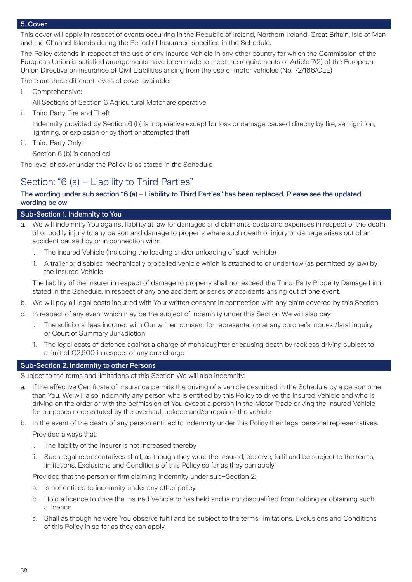#### 5. Cover

This cover will apply in respect of events occurring in the Republic of Ireland, Northern Ireland, Great Britain, Isle of Man and the Channel Islands during the Period of Insurance specified in the Schedule.

The Policy extends in respect of the use of any Insured Vehicle in any other country for which the Commission of the European Union is satisfied arrangements have been made to meet the requirements of Article 7(2) of the European Union Directive on insurance of Civil Liabilities arising from the use of motor vehicles (No. 72/166/CEE)

There are three different levels of cover available:

i. Comprehensive:

All Sections of Section 6 Agricultural Motor are operative

ii. Third Party Fire and Theft

Indemnity provided by Section 6 (b) is inoperative except for loss or damage caused directly by fire, self-ignition, lightning, or explosion or by theft or attempted theft

iii. Third Party Only:

Section 6 (b) is cancelled

The level of cover under the Policy is as stated in the Schedule

### Section: "6 (a) – Liability to Third Parties"

#### The wording under sub section "6 (a) – Liability to Third Parties" has been replaced. Please see the updated wording below

#### Sub-Section 1. Indemnity to You

- We will indemnify You against liability at law for damages and claimant's costs and expenses in respect of the death of or bodily injury to any person and damage to property where such death or injury or damage arises out of an accident caused by or in connection with:
	- i. The insured Vehicle (including the loading and/or unloading of such vehicle)
	- ii. A trailer or disabled mechanically propelled vehicle which is attached to or under tow (as permitted by law) by the Insured Vehicle

The liability of the Insurer in respect of damage to property shall not exceed the Third-Party Property Damage Limit stated in the Schedule, in respect of any one accident or series of accidents arising out of one event.

- b. We will pay all legal costs incurred with Your written consent in connection with any claim covered by this Section
- c. In respect of any event which may be the subject of indemnity under this Section We will also pay:
	- i. The solicitors' fees incurred with Our written consent for representation at any coroner's inquest/fatal inquiry or Court of Summary Jurisdiction
	- ii. The legal costs of defence against a charge of manslaughter or causing death by reckless driving subject to a limit of €2,600 in respect of any one charge

#### Sub-Section 2. Indemnity to other Persons

Subject to the terms and limitations of this Section We will also indemnify:

- a. If the effective Certificate of Insurance permits the driving of a vehicle described in the Schedule by a person other than You, We will also indemnify any person who is entitled by this Policy to drive the Insured Vehicle and who is driving on the order or with the permission of You except a person in the Motor Trade driving the Insured Vehicle for purposes necessitated by the overhaul, upkeep and/or repair of the vehicle
- b. In the event of the death of any person entitled to indemnity under this Policy their legal personal representatives. Provided always that:
	- i. The liability of the Insurer is not increased thereby
	- ii. Such legal representatives shall, as though they were the Insured, observe, fulfil and be subject to the terms, limitations, Exclusions and Conditions of this Policy so far as they can apply'

Provided that the person or firm claiming indemnity under sub–Section 2:

- a. Is not entitled to indemnity under any other policy.
- b. Hold a licence to drive the Insured Vehicle or has held and is not disqualified from holding or obtaining such a licence
- c. Shall as though he were You observe fulfil and be subject to the terms, limitations, Exclusions and Conditions of this Policy in so far as they can apply.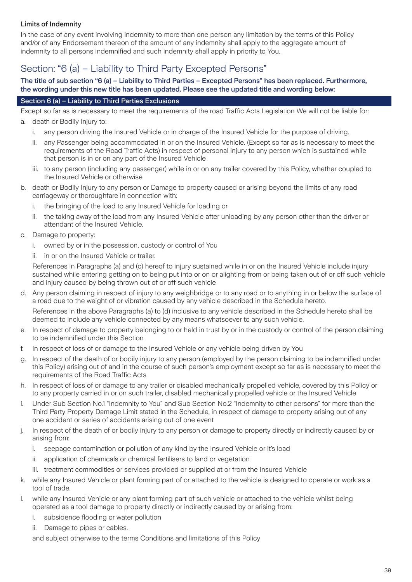### Limits of Indemnity

In the case of any event involving indemnity to more than one person any limitation by the terms of this Policy and/or of any Endorsement thereon of the amount of any indemnity shall apply to the aggregate amount of indemnity to all persons indemnified and such indemnity shall apply in priority to You.

# Section: "6 (a) – Liability to Third Party Excepted Persons"

#### The title of sub section "6 (a) – Liability to Third Parties – Excepted Persons" has been replaced. Furthermore, the wording under this new title has been updated. Please see the updated title and wording below:

#### Section 6 (a) – Liability to Third Parties Exclusions

Except so far as is necessary to meet the requirements of the road Traffic Acts Legislation We will not be liable for: a. death or Bodily Injury to:

- i. any person driving the Insured Vehicle or in charge of the Insured Vehicle for the purpose of driving.
- ii. any Passenger being accommodated in or on the Insured Vehicle. (Except so far as is necessary to meet the requirements of the Road Traffic Acts) in respect of personal injury to any person which is sustained while that person is in or on any part of the Insured Vehicle
- iii. to any person (including any passenger) while in or on any trailer covered by this Policy, whether coupled to the Insured Vehicle or otherwise
- b. death or Bodily Injury to any person or Damage to property caused or arising beyond the limits of any road carriageway or thoroughfare in connection with:
	- i. the bringing of the load to any Insured Vehicle for loading or
	- ii. the taking away of the load from any Insured Vehicle after unloading by any person other than the driver or attendant of the Insured Vehicle.
- c. Damage to property:
	- i. owned by or in the possession, custody or control of You
	- ii. in or on the Insured Vehicle or trailer.

References in Paragraphs (a) and (c) hereof to injury sustained while in or on the Insured Vehicle include injury sustained while entering getting on to being put into or on or alighting from or being taken out of or off such vehicle and injury caused by being thrown out of or off such vehicle

d. Any person claiming in respect of injury to any weighbridge or to any road or to anything in or below the surface of a road due to the weight of or vibration caused by any vehicle described in the Schedule hereto.

References in the above Paragraphs (a) to (d) inclusive to any vehicle described in the Schedule hereto shall be deemed to include any vehicle connected by any means whatsoever to any such vehicle.

- e. In respect of damage to property belonging to or held in trust by or in the custody or control of the person claiming to be indemnified under this Section
- f. In respect of loss of or damage to the Insured Vehicle or any vehicle being driven by You
- g. In respect of the death of or bodily injury to any person (employed by the person claiming to be indemnified under this Policy) arising out of and in the course of such person's employment except so far as is necessary to meet the requirements of the Road Traffic Acts
- h. In respect of loss of or damage to any trailer or disabled mechanically propelled vehicle, covered by this Policy or to any property carried in or on such trailer, disabled mechanically propelled vehicle or the Insured Vehicle
- i. Under Sub Section No.1 "Indemnity to You" and Sub Section No.2 "Indemnity to other persons" for more than the Third Party Property Damage Limit stated in the Schedule, in respect of damage to property arising out of any one accident or series of accidents arising out of one event
- j. In respect of the death of or bodily injury to any person or damage to property directly or indirectly caused by or arising from:
	- i. seepage contamination or pollution of any kind by the Insured Vehicle or it's load
	- application of chemicals or chemical fertilisers to land or vegetation
	- iii. treatment commodities or services provided or supplied at or from the Insured Vehicle
- k. while any Insured Vehicle or plant forming part of or attached to the vehicle is designed to operate or work as a tool of trade.
- l. while any Insured Vehicle or any plant forming part of such vehicle or attached to the vehicle whilst being operated as a tool damage to property directly or indirectly caused by or arising from:
	- i. subsidence flooding or water pollution
	- ii. Damage to pipes or cables.

and subject otherwise to the terms Conditions and limitations of this Policy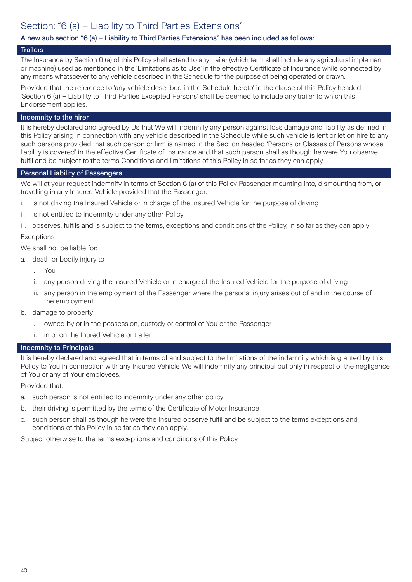# Section: "6 (a) – Liability to Third Parties Extensions"

### A new sub section "6 (a) – Liability to Third Parties Extensions" has been included as follows:

#### **Trailers**

The Insurance by Section 6 (a) of this Policy shall extend to any trailer (which term shall include any agricultural implement or machine) used as mentioned in the 'Limitations as to Use' in the effective Certificate of Insurance while connected by any means whatsoever to any vehicle described in the Schedule for the purpose of being operated or drawn.

Provided that the reference to 'any vehicle described in the Schedule hereto' in the clause of this Policy headed 'Section 6 (a) – Liability to Third Parties Excepted Persons' shall be deemed to include any trailer to which this Endorsement applies.

#### Indemnity to the hirer

It is hereby declared and agreed by Us that We will indemnify any person against loss damage and liability as defined in this Policy arising in connection with any vehicle described in the Schedule while such vehicle is lent or let on hire to any such persons provided that such person or firm is named in the Section headed 'Persons or Classes of Persons whose liability is covered' in the effective Certificate of Insurance and that such person shall as though he were You observe fulfil and be subject to the terms Conditions and limitations of this Policy in so far as they can apply.

#### Personal Liability of Passengers

We will at your request indemnify in terms of Section 6 (a) of this Policy Passenger mounting into, dismounting from, or travelling in any Insured Vehicle provided that the Passenger:

- i. is not driving the Insured Vehicle or in charge of the Insured Vehicle for the purpose of driving
- ii. is not entitled to indemnity under any other Policy
- iii. observes, fulfils and is subject to the terms, exceptions and conditions of the Policy, in so far as they can apply

#### Exceptions

We shall not be liable for:

- a. death or bodily injury to
	- i. You
	- ii. any person driving the Insured Vehicle or in charge of the Insured Vehicle for the purpose of driving
	- iii. any person in the employment of the Passenger where the personal injury arises out of and in the course of the employment
- b. damage to property
	- i. owned by or in the possession, custody or control of You or the Passenger
	- ii. in or on the Inured Vehicle or trailer

#### Indemnity to Principals

It is hereby declared and agreed that in terms of and subject to the limitations of the indemnity which is granted by this Policy to You in connection with any Insured Vehicle We will indemnify any principal but only in respect of the negligence of You or any of Your employees.

Provided that:

- a. such person is not entitled to indemnity under any other policy
- b. their driving is permitted by the terms of the Certificate of Motor Insurance
- c. such person shall as though he were the Insured observe fulfil and be subject to the terms exceptions and conditions of this Policy in so far as they can apply.

Subject otherwise to the terms exceptions and conditions of this Policy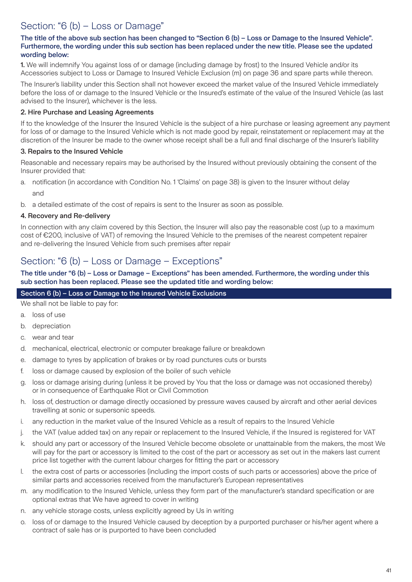# Section: "6 (b) - Loss or Damage"

#### The title of the above sub section has been changed to "Section 6 (b) – Loss or Damage to the Insured Vehicle". Furthermore, the wording under this sub section has been replaced under the new title. Please see the updated wording below:

1. We will indemnify You against loss of or damage (including damage by frost) to the Insured Vehicle and/or its Accessories subject to Loss or Damage to Insured Vehicle Exclusion (m) on page 36 and spare parts while thereon.

The Insurer's liability under this Section shall not however exceed the market value of the Insured Vehicle immediately before the loss of or damage to the Insured Vehicle or the Insured's estimate of the value of the Insured Vehicle (as last advised to the Insurer), whichever is the less.

### 2. Hire Purchase and Leasing Agreements

If to the knowledge of the Insurer the Insured Vehicle is the subject of a hire purchase or leasing agreement any payment for loss of or damage to the Insured Vehicle which is not made good by repair, reinstatement or replacement may at the discretion of the Insurer be made to the owner whose receipt shall be a full and final discharge of the Insurer's liability

### 3. Repairs to the Insured Vehicle

Reasonable and necessary repairs may be authorised by the Insured without previously obtaining the consent of the Insurer provided that:

- a. notification (in accordance with Condition No. 1 'Claims' on page 38) is given to the Insurer without delay and
- b. a detailed estimate of the cost of repairs is sent to the Insurer as soon as possible.

### 4. Recovery and Re-delivery

In connection with any claim covered by this Section, the Insurer will also pay the reasonable cost (up to a maximum cost of €200, inclusive of VAT) of removing the Insured Vehicle to the premises of the nearest competent repairer and re-delivering the Insured Vehicle from such premises after repair

# Section: "6 (b) – Loss or Damage – Exceptions"

The title under "6 (b) – Loss or Damage – Exceptions" has been amended. Furthermore, the wording under this sub section has been replaced. Please see the updated title and wording below:

### Section 6 (b) – Loss or Damage to the Insured Vehicle Exclusions

We shall not be liable to pay for:

- a. loss of use
- b. depreciation
- c. wear and tear
- d. mechanical, electrical, electronic or computer breakage failure or breakdown
- e. damage to tyres by application of brakes or by road punctures cuts or bursts
- f. loss or damage caused by explosion of the boiler of such vehicle
- g. loss or damage arising during (unless it be proved by You that the loss or damage was not occasioned thereby) or in consequence of Earthquake Riot or Civil Commotion
- h. loss of, destruction or damage directly occasioned by pressure waves caused by aircraft and other aerial devices travelling at sonic or supersonic speeds.
- i. any reduction in the market value of the Insured Vehicle as a result of repairs to the Insured Vehicle
- j. the VAT (value added tax) on any repair or replacement to the Insured Vehicle, if the Insured is registered for VAT
- k. should any part or accessory of the Insured Vehicle become obsolete or unattainable from the makers, the most We will pay for the part or accessory is limited to the cost of the part or accessory as set out in the makers last current price list together with the current labour charges for fitting the part or accessory
- l. the extra cost of parts or accessories (including the import costs of such parts or accessories) above the price of similar parts and accessories received from the manufacturer's European representatives
- m. any modification to the Insured Vehicle, unless they form part of the manufacturer's standard specification or are optional extras that We have agreed to cover in writing
- n. any vehicle storage costs, unless explicitly agreed by Us in writing
- o. loss of or damage to the Insured Vehicle caused by deception by a purported purchaser or his/her agent where a contract of sale has or is purported to have been concluded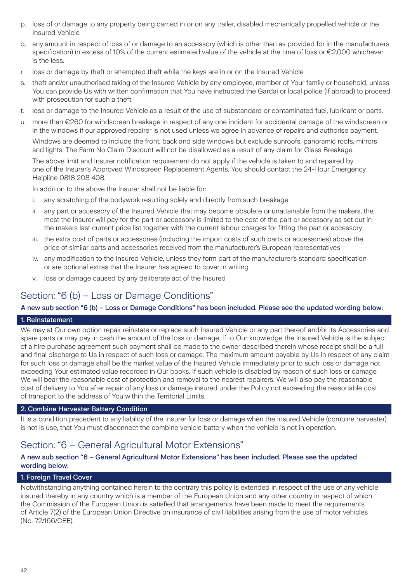- p. loss of or damage to any property being carried in or on any trailer, disabled mechanically propelled vehicle or the Insured Vehicle
- q. any amount in respect of loss of or damage to an accessory (which is other than as provided for in the manufacturers specification) in excess of 10% of the current estimated value of the vehicle at the time of loss or €2,000 whichever is the less.
- r. loss or damage by theft or attempted theft while the keys are in or on the Insured Vehicle
- s. theft and/or unauthorised taking of the Insured Vehicle by any employee, member of Your family or household, unless You can provide Us with written confirmation that You have instructed the Gardai or local police (if abroad) to proceed with prosecution for such a theft
- t. loss or damage to the Insured Vehicle as a result of the use of substandard or contaminated fuel, lubricant or parts.
- u. more than €260 for windscreen breakage in respect of any one incident for accidental damage of the windscreen or in the windows if our approved repairer is not used unless we agree in advance of repairs and authorise payment.

Windows are deemed to include the front, back and side windows but exclude sunroofs, panoramic roofs, mirrors and lights. The Farm No Claim Discount will not be disallowed as a result of any claim for Glass Breakage.

The above limit and Insurer notification requirement do not apply if the vehicle is taken to and repaired by one of the Insurer's Approved Windscreen Replacement Agents. You should contact the 24-Hour Emergency Helpline 0818 208 408.

In addition to the above the Insurer shall not be liable for:

- i. any scratching of the bodywork resulting solely and directly from such breakage
- ii. any part or accessory of the Insured Vehicle that may become obsolete or unattainable from the makers, the most the Insurer will pay for the part or accessory is limited to the cost of the part or accessory as set out in the makers last current price list together with the current labour charges for fitting the part or accessory
- iii. the extra cost of parts or accessories (including the import costs of such parts or accessories) above the price of similar parts and accessories received from the manufacturer's European representatives
- iv. any modification to the Insured Vehicle, unless they form part of the manufacturer's standard specification or are optional extras that the Insurer has agreed to cover in writing
- v. loss or damage caused by any deliberate act of the Insured

# Section: "6 (b) – Loss or Damage Conditions"

#### A new sub section "6 (b) – Loss or Damage Conditions" has been included. Please see the updated wording below:

#### 1. Reinstatement

We may at Our own option repair reinstate or replace such Insured Vehicle or any part thereof and/or its Accessories and spare parts or may pay in cash the amount of the loss or damage. If to Our knowledge the Insured Vehicle is the subject of a hire purchase agreement such payment shall be made to the owner described therein whose receipt shall be a full and final discharge to Us in respect of such loss or damage. The maximum amount payable by Us in respect of any claim for such loss or damage shall be the market value of the Insured Vehicle immediately prior to such loss or damage not exceeding Your estimated value recorded in Our books. If such vehicle is disabled by reason of such loss or damage We will bear the reasonable cost of protection and removal to the nearest repairers. We will also pay the reasonable cost of delivery to You after repair of any loss or damage insured under the Policy not exceeding the reasonable cost of transport to the address of You within the Territorial Limits.

#### 2. Combine Harvester Battery Condition

It is a condition precedent to any liability of the Insurer for loss or damage when the Insured Vehicle (combine harvester) is not is use, that You must disconnect the combine vehicle battery when the vehicle is not in operation.

### Section: "6 – General Agricultural Motor Extensions"

#### A new sub section "6 – General Agricultural Motor Extensions" has been included. Please see the updated wording below:

#### 1. Foreign Travel Cover

Notwithstanding anything contained herein to the contrary this policy is extended in respect of the use of any vehicle insured thereby in any country which is a member of the European Union and any other country in respect of which the Commission of the European Union is satisfied that arrangements have been made to meet the requirements of Article 7(2) of the European Union Directive on insurance of civil liabilities arising from the use of motor vehicles (No. 72/166/CEE).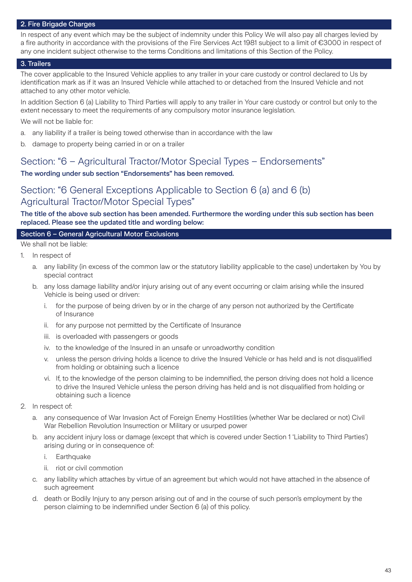#### 2. Fire Brigade Charges

In respect of any event which may be the subject of indemnity under this Policy We will also pay all charges levied by a fire authority in accordance with the provisions of the Fire Services Act 1981 subject to a limit of €3000 in respect of any one incident subject otherwise to the terms Conditions and limitations of this Section of the Policy.

#### 3. Trailers

The cover applicable to the Insured Vehicle applies to any trailer in your care custody or control declared to Us by identification mark as if it was an Insured Vehicle while attached to or detached from the Insured Vehicle and not attached to any other motor vehicle.

In addition Section 6 (a) Liability to Third Parties will apply to any trailer in Your care custody or control but only to the extent necessary to meet the requirements of any compulsory motor insurance legislation.

We will not be liable for:

- a. any liability if a trailer is being towed otherwise than in accordance with the law
- b. damage to property being carried in or on a trailer

### Section: "6 – Agricultural Tractor/Motor Special Types – Endorsements"

#### The wording under sub section "Endorsements" has been removed.

### Section: "6 General Exceptions Applicable to Section 6 (a) and 6 (b) Agricultural Tractor/Motor Special Types"

#### The title of the above sub section has been amended. Furthermore the wording under this sub section has been replaced. Please see the updated title and wording below:

#### Section 6 – General Agricultural Motor Exclusions

We shall not be liable:

- 1. In respect of
	- a. any liability (in excess of the common law or the statutory liability applicable to the case) undertaken by You by special contract
	- b. any loss damage liability and/or injury arising out of any event occurring or claim arising while the insured Vehicle is being used or driven:
		- i. for the purpose of being driven by or in the charge of any person not authorized by the Certificate of Insurance
		- ii. for any purpose not permitted by the Certificate of Insurance
		- iii. is overloaded with passengers or goods
		- iv. to the knowledge of the Insured in an unsafe or unroadworthy condition
		- v. unless the person driving holds a licence to drive the Insured Vehicle or has held and is not disqualified from holding or obtaining such a licence
		- vi. If, to the knowledge of the person claiming to be indemnified, the person driving does not hold a licence to drive the Insured Vehicle unless the person driving has held and is not disqualified from holding or obtaining such a licence
- 2. In respect of:
	- a. any consequence of War Invasion Act of Foreign Enemy Hostilities (whether War be declared or not) Civil War Rebellion Revolution Insurrection or Military or usurped power
	- b. any accident injury loss or damage (except that which is covered under Section 1 'Liability to Third Parties') arising during or in consequence of:
		- i. Earthquake
		- ii. riot or civil commotion
	- c. any liability which attaches by virtue of an agreement but which would not have attached in the absence of such agreement
	- d. death or Bodily Injury to any person arising out of and in the course of such person's employment by the person claiming to be indemnified under Section 6 (a) of this policy.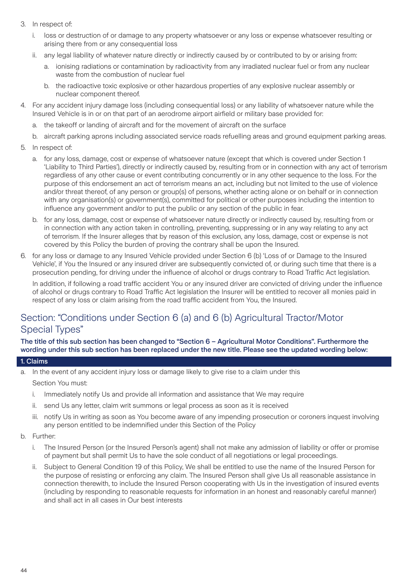- 3. In respect of:
	- i. loss or destruction of or damage to any property whatsoever or any loss or expense whatsoever resulting or arising there from or any consequential loss
	- ii. any legal liability of whatever nature directly or indirectly caused by or contributed to by or arising from:
		- a. ionising radiations or contamination by radioactivity from any irradiated nuclear fuel or from any nuclear waste from the combustion of nuclear fuel
		- b. the radioactive toxic explosive or other hazardous properties of any explosive nuclear assembly or nuclear component thereof.
- 4. For any accident injury damage loss (including consequential loss) or any liability of whatsoever nature while the Insured Vehicle is in or on that part of an aerodrome airport airfield or military base provided for:
	- a. the takeoff or landing of aircraft and for the movement of aircraft on the surface
	- b. aircraft parking aprons including associated service roads refuelling areas and ground equipment parking areas.
- 5. In respect of:
	- a. for any loss, damage, cost or expense of whatsoever nature (except that which is covered under Section 1 'Liability to Third Parties'), directly or indirectly caused by, resulting from or in connection with any act of terrorism regardless of any other cause or event contributing concurrently or in any other sequence to the loss. For the purpose of this endorsement an act of terrorism means an act, including but not limited to the use of violence and/or threat thereof, of any person or group(s) of persons, whether acting alone or on behalf or in connection with any organisation(s) or government(s), committed for political or other purposes including the intention to influence any government and/or to put the public or any section of the public in fear.
	- b. for any loss, damage, cost or expense of whatsoever nature directly or indirectly caused by, resulting from or in connection with any action taken in controlling, preventing, suppressing or in any way relating to any act of terrorism. If the Insurer alleges that by reason of this exclusion, any loss, damage, cost or expense is not covered by this Policy the burden of proving the contrary shall be upon the Insured.
- 6. for any loss or damage to any Insured Vehicle provided under Section 6 (b) 'Loss of or Damage to the Insured Vehicle', if You the Insured or any insured driver are subsequently convicted of, or during such time that there is a prosecution pending, for driving under the influence of alcohol or drugs contrary to Road Traffic Act legislation.

In addition, if following a road traffic accident You or any insured driver are convicted of driving under the influence of alcohol or drugs contrary to Road Traffic Act legislation the Insurer will be entitled to recover all monies paid in respect of any loss or claim arising from the road traffic accident from You, the Insured.

# Section: "Conditions under Section 6 (a) and 6 (b) Agricultural Tractor/Motor Special Types"

The title of this sub section has been changed to "Section 6 – Agricultural Motor Conditions". Furthermore the wording under this sub section has been replaced under the new title. Please see the updated wording below:

#### 1. Claims

- a. In the event of any accident injury loss or damage likely to give rise to a claim under this Section You must:
	- i. Immediately notify Us and provide all information and assistance that We may require
	- ii. send Us any letter, claim writ summons or legal process as soon as it is received
	- iii. notify Us in writing as soon as You become aware of any impending prosecution or coroners inquest involving any person entitled to be indemnified under this Section of the Policy
- b. Further:
	- i. The Insured Person (or the Insured Person's agent) shall not make any admission of liability or offer or promise of payment but shall permit Us to have the sole conduct of all negotiations or legal proceedings.
	- Subject to General Condition 19 of this Policy, We shall be entitled to use the name of the Insured Person for the purpose of resisting or enforcing any claim. The Insured Person shall give Us all reasonable assistance in connection therewith, to include the Insured Person cooperating with Us in the investigation of insured events (including by responding to reasonable requests for information in an honest and reasonably careful manner) and shall act in all cases in Our best interests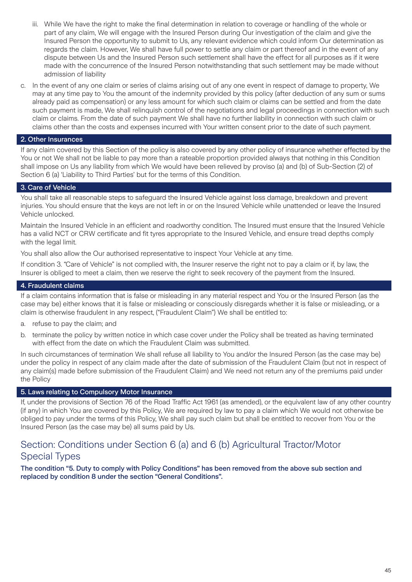- iii. While We have the right to make the final determination in relation to coverage or handling of the whole or part of any claim, We will engage with the Insured Person during Our investigation of the claim and give the Insured Person the opportunity to submit to Us, any relevant evidence which could inform Our determination as regards the claim. However, We shall have full power to settle any claim or part thereof and in the event of any dispute between Us and the Insured Person such settlement shall have the effect for all purposes as if it were made with the concurrence of the Insured Person notwithstanding that such settlement may be made without admission of liability
- c. In the event of any one claim or series of claims arising out of any one event in respect of damage to property, We may at any time pay to You the amount of the indemnity provided by this policy (after deduction of any sum or sums already paid as compensation) or any less amount for which such claim or claims can be settled and from the date such payment is made, We shall relinquish control of the negotiations and legal proceedings in connection with such claim or claims. From the date of such payment We shall have no further liability in connection with such claim or claims other than the costs and expenses incurred with Your written consent prior to the date of such payment.

#### 2. Other Insurances

If any claim covered by this Section of the policy is also covered by any other policy of insurance whether effected by the You or not We shall not be liable to pay more than a rateable proportion provided always that nothing in this Condition shall impose on Us any liability from which We would have been relieved by proviso (a) and (b) of Sub-Section (2) of Section 6 (a) 'Liability to Third Parties' but for the terms of this Condition.

#### 3. Care of Vehicle

You shall take all reasonable steps to safeguard the Insured Vehicle against loss damage, breakdown and prevent injuries. You should ensure that the keys are not left in or on the Insured Vehicle while unattended or leave the Insured Vehicle unlocked.

Maintain the Insured Vehicle in an efficient and roadworthy condition. The Insured must ensure that the Insured Vehicle has a valid NCT or CRW certificate and fit tyres appropriate to the Insured Vehicle, and ensure tread depths comply with the legal limit.

You shall also allow the Our authorised representative to inspect Your Vehicle at any time.

If condition 3. "Care of Vehicle" is not complied with, the Insurer reserve the right not to pay a claim or if, by law, the Insurer is obliged to meet a claim, then we reserve the right to seek recovery of the payment from the Insured.

#### 4. Fraudulent claims

If a claim contains information that is false or misleading in any material respect and You or the Insured Person (as the case may be) either knows that it is false or misleading or consciously disregards whether it is false or misleading, or a claim is otherwise fraudulent in any respect, ("Fraudulent Claim") We shall be entitled to:

- a. refuse to pay the claim; and
- b. terminate the policy by written notice in which case cover under the Policy shall be treated as having terminated with effect from the date on which the Fraudulent Claim was submitted.

In such circumstances of termination We shall refuse all liability to You and/or the Insured Person (as the case may be) under the policy in respect of any claim made after the date of submission of the Fraudulent Claim (but not in respect of any claim(s) made before submission of the Fraudulent Claim) and We need not return any of the premiums paid under the Policy

#### 5. Laws relating to Compulsory Motor Insurance

If, under the provisions of Section 76 of the Road Traffic Act 1961 (as amended), or the equivalent law of any other country (if any) in which You are covered by this Policy, We are required by law to pay a claim which We would not otherwise be obliged to pay under the terms of this Policy, We shall pay such claim but shall be entitled to recover from You or the Insured Person (as the case may be) all sums paid by Us.

### Section: Conditions under Section 6 (a) and 6 (b) Agricultural Tractor/Motor Special Types

The condition "5. Duty to comply with Policy Conditions" has been removed from the above sub section and replaced by condition 8 under the section "General Conditions".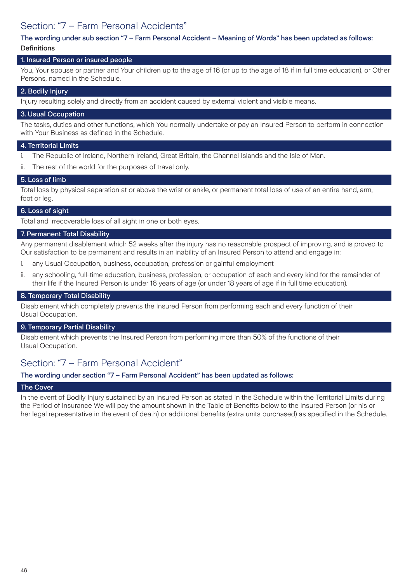# Section: "7 – Farm Personal Accidents"

#### The wording under sub section "7 – Farm Personal Accident – Meaning of Words" has been updated as follows: **Definitions**

#### 1. Insured Person or insured people

You, Your spouse or partner and Your children up to the age of 16 (or up to the age of 18 if in full time education), or Other Persons, named in the Schedule.

#### 2. Bodily Injury

Injury resulting solely and directly from an accident caused by external violent and visible means.

#### 3. Usual Occupation

The tasks, duties and other functions, which You normally undertake or pay an Insured Person to perform in connection with Your Business as defined in the Schedule.

#### 4. Territorial Limits

- i. The Republic of Ireland, Northern Ireland, Great Britain, the Channel Islands and the Isle of Man.
- ii. The rest of the world for the purposes of travel only.

#### 5. Loss of limb

Total loss by physical separation at or above the wrist or ankle, or permanent total loss of use of an entire hand, arm, foot or leg.

#### 6. Loss of sight

Total and irrecoverable loss of all sight in one or both eyes.

#### 7. Permanent Total Disability

Any permanent disablement which 52 weeks after the injury has no reasonable prospect of improving, and is proved to Our satisfaction to be permanent and results in an inability of an Insured Person to attend and engage in:

- i. any Usual Occupation, business, occupation, profession or gainful employment
- ii. any schooling, full-time education, business, profession, or occupation of each and every kind for the remainder of their life if the Insured Person is under 16 years of age (or under 18 years of age if in full time education).

#### 8. Temporary Total Disability

Disablement which completely prevents the Insured Person from performing each and every function of their Usual Occupation.

#### 9. Temporary Partial Disability

Disablement which prevents the Insured Person from performing more than 50% of the functions of their Usual Occupation.

### Section: "7 – Farm Personal Accident"

#### The wording under section "7 – Farm Personal Accident" has been updated as follows:

#### The Cover

In the event of Bodily Injury sustained by an Insured Person as stated in the Schedule within the Territorial Limits during the Period of Insurance We will pay the amount shown in the Table of Benefits below to the Insured Person (or his or her legal representative in the event of death) or additional benefits (extra units purchased) as specified in the Schedule.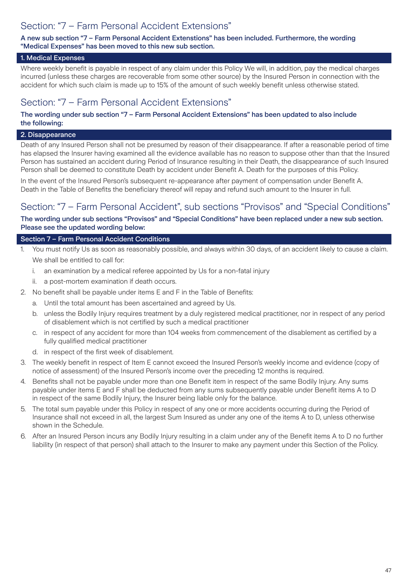# Section: "7 – Farm Personal Accident Extensions"

A new sub section "7 – Farm Personal Accident Extenstions" has been included. Furthermore, the wording "Medical Expenses" has been moved to this new sub section.

#### 1. Medical Expenses

Where weekly benefit is payable in respect of any claim under this Policy We will, in addition, pay the medical charges incurred (unless these charges are recoverable from some other source) by the Insured Person in connection with the accident for which such claim is made up to 15% of the amount of such weekly benefit unless otherwise stated.

### Section: "7 – Farm Personal Accident Extensions"

#### The wording under sub section "7 – Farm Personal Accident Extensions" has been updated to also include the following:

#### 2. Disappearance

Death of any Insured Person shall not be presumed by reason of their disappearance. If after a reasonable period of time has elapsed the Insurer having examined all the evidence available has no reason to suppose other than that the Insured Person has sustained an accident during Period of Insurance resulting in their Death, the disappearance of such Insured Person shall be deemed to constitute Death by accident under Benefit A. Death for the purposes of this Policy.

In the event of the Insured Person's subsequent re-appearance after payment of compensation under Benefit A. Death in the Table of Benefits the beneficiary thereof will repay and refund such amount to the Insurer in full.

### Section: "7 – Farm Personal Accident", sub sections "Provisos" and "Special Conditions"

The wording under sub sections "Provisos" and "Special Conditions" have been replaced under a new sub section. Please see the updated wording below:

#### Section 7 – Farm Personal Accident Conditions

- 1. You must notify Us as soon as reasonably possible, and always within 30 days, of an accident likely to cause a claim. We shall be entitled to call for:
	- i. an examination by a medical referee appointed by Us for a non-fatal injury
	- ii. a post-mortem examination if death occurs.
- 2. No benefit shall be payable under items E and F in the Table of Benefits:
	- a. Until the total amount has been ascertained and agreed by Us.
	- b. unless the Bodily Injury requires treatment by a duly registered medical practitioner, nor in respect of any period of disablement which is not certified by such a medical practitioner
	- c. in respect of any accident for more than 104 weeks from commencement of the disablement as certified by a fully qualified medical practitioner
	- d. in respect of the first week of disablement.
- 3. The weekly benefit in respect of Item E cannot exceed the Insured Person's weekly income and evidence (copy of notice of assessment) of the Insured Person's income over the preceding 12 months is required.
- 4. Benefits shall not be payable under more than one Benefit item in respect of the same Bodily Injury. Any sums payable under items E and F shall be deducted from any sums subsequently payable under Benefit items A to D in respect of the same Bodily Injury, the Insurer being liable only for the balance.
- 5. The total sum payable under this Policy in respect of any one or more accidents occurring during the Period of Insurance shall not exceed in all, the largest Sum Insured as under any one of the items A to D, unless otherwise shown in the Schedule.
- 6. After an Insured Person incurs any Bodily Injury resulting in a claim under any of the Benefit items A to D no further liability (in respect of that person) shall attach to the Insurer to make any payment under this Section of the Policy.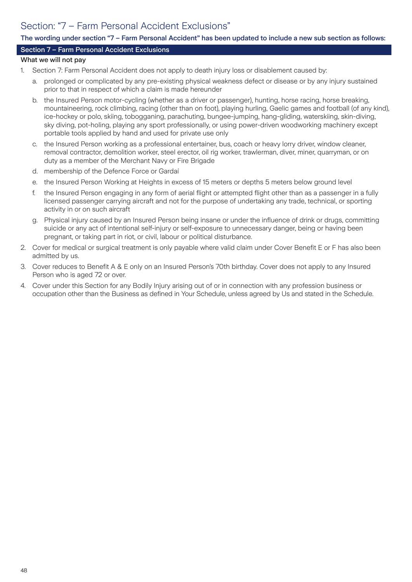# Section: "7 – Farm Personal Accident Exclusions"

#### The wording under section "7 – Farm Personal Accident" has been updated to include a new sub section as follows:

#### Section 7 – Farm Personal Accident Exclusions

#### What we will not pay

- 1. Section 7: Farm Personal Accident does not apply to death injury loss or disablement caused by:
	- a. prolonged or complicated by any pre-existing physical weakness defect or disease or by any injury sustained prior to that in respect of which a claim is made hereunder
	- b. the Insured Person motor-cycling (whether as a driver or passenger), hunting, horse racing, horse breaking, mountaineering, rock climbing, racing (other than on foot), playing hurling, Gaelic games and football (of any kind), ice-hockey or polo, skiing, tobogganing, parachuting, bungee-jumping, hang-gliding, waterskiing, skin-diving, sky diving, pot-holing, playing any sport professionally, or using power-driven woodworking machinery except portable tools applied by hand and used for private use only
	- c. the Insured Person working as a professional entertainer, bus, coach or heavy lorry driver, window cleaner, removal contractor, demolition worker, steel erector, oil rig worker, trawlerman, diver, miner, quarryman, or on duty as a member of the Merchant Navy or Fire Brigade
	- d. membership of the Defence Force or Gardaí
	- e. the Insured Person Working at Heights in excess of 15 meters or depths 5 meters below ground level
	- f. the Insured Person engaging in any form of aerial flight or attempted flight other than as a passenger in a fully licensed passenger carrying aircraft and not for the purpose of undertaking any trade, technical, or sporting activity in or on such aircraft
	- g. Physical injury caused by an Insured Person being insane or under the influence of drink or drugs, committing suicide or any act of intentional self-injury or self-exposure to unnecessary danger, being or having been pregnant, or taking part in riot, or civil, labour or political disturbance.
- 2. Cover for medical or surgical treatment is only payable where valid claim under Cover Benefit E or F has also been admitted by us.
- 3. Cover reduces to Benefit A & E only on an Insured Person's 70th birthday. Cover does not apply to any Insured Person who is aged 72 or over.
- 4. Cover under this Section for any Bodily Injury arising out of or in connection with any profession business or occupation other than the Business as defined in Your Schedule, unless agreed by Us and stated in the Schedule.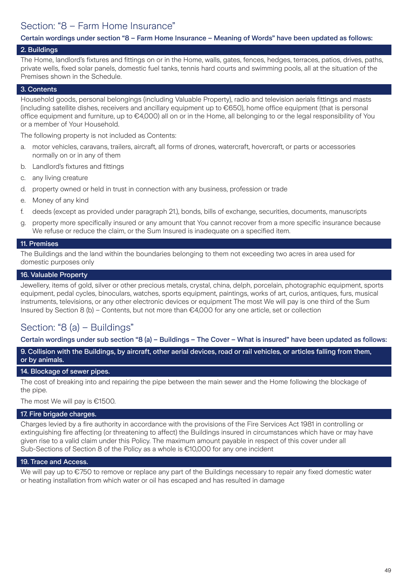# Section: "8 – Farm Home Insurance"

#### Certain wordings under section "8 – Farm Home Insurance – Meaning of Words" have been updated as follows:

#### 2. Buildings

The Home, landlord's fixtures and fittings on or in the Home, walls, gates, fences, hedges, terraces, patios, drives, paths, private wells, fixed solar panels, domestic fuel tanks, tennis hard courts and swimming pools, all at the situation of the Premises shown in the Schedule.

#### 3. Contents

Household goods, personal belongings (including Valuable Property), radio and television aerials fittings and masts (including satellite dishes, receivers and ancillary equipment up to €650), home office equipment (that is personal office equipment and furniture, up to €4,000) all on or in the Home, all belonging to or the legal responsibility of You or a member of Your Household.

The following property is not included as Contents:

- a. motor vehicles, caravans, trailers, aircraft, all forms of drones, watercraft, hovercraft, or parts or accessories normally on or in any of them
- b. Landlord's fixtures and fittings
- c. any living creature
- d. property owned or held in trust in connection with any business, profession or trade
- e. Money of any kind
- f. deeds (except as provided under paragraph 21.), bonds, bills of exchange, securities, documents, manuscripts
- g. property more specifically insured or any amount that You cannot recover from a more specific insurance because We refuse or reduce the claim, or the Sum Insured is inadequate on a specified item.

#### 11. Premises

The Buildings and the land within the boundaries belonging to them not exceeding two acres in area used for domestic purposes only

#### 16. Valuable Property

Jewellery, items of gold, silver or other precious metals, crystal, china, delph, porcelain, photographic equipment, sports equipment, pedal cycles, binoculars, watches, sports equipment, paintings, works of art, curios, antiques, furs, musical instruments, televisions, or any other electronic devices or equipment The most We will pay is one third of the Sum Insured by Section 8 (b) – Contents, but not more than  $\epsilon$ 4,000 for any one article, set or collection

### Section: "8 (a) – Buildings"

Certain wordings under sub section "8 (a) – Buildings – The Cover – What is insured" have been updated as follows:

9. Collision with the Buildings, by aircraft, other aerial devices, road or rail vehicles, or articles falling from them, or by animals.

#### 14. Blockage of sewer pipes.

The cost of breaking into and repairing the pipe between the main sewer and the Home following the blockage of the pipe.

The most We will pay is €1500.

#### 17. Fire brigade charges.

Charges levied by a fire authority in accordance with the provisions of the Fire Services Act 1981 in controlling or extinguishing fire affecting (or threatening to affect) the Buildings insured in circumstances which have or may have given rise to a valid claim under this Policy. The maximum amount payable in respect of this cover under all Sub-Sections of Section 8 of the Policy as a whole is €10,000 for any one incident

#### 19. Trace and Access.

We will pay up to €750 to remove or replace any part of the Buildings necessary to repair any fixed domestic water or heating installation from which water or oil has escaped and has resulted in damage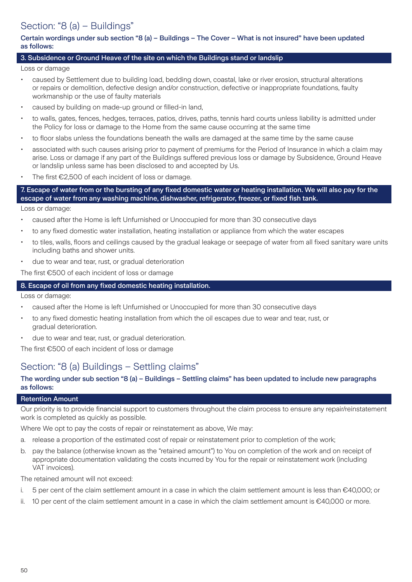# Section: "8 (a) – Buildings"

#### Certain wordings under sub section "8 (a) – Buildings – The Cover – What is not insured" have been updated as follows:

#### 3. Subsidence or Ground Heave of the site on which the Buildings stand or landslip

Loss or damage

- caused by Settlement due to building load, bedding down, coastal, lake or river erosion, structural alterations or repairs or demolition, defective design and/or construction, defective or inappropriate foundations, faulty workmanship or the use of faulty materials
- caused by building on made-up ground or filled-in land,
- to walls, gates, fences, hedges, terraces, patios, drives, paths, tennis hard courts unless liability is admitted under the Policy for loss or damage to the Home from the same cause occurring at the same time
- to floor slabs unless the foundations beneath the walls are damaged at the same time by the same cause
- associated with such causes arising prior to payment of premiums for the Period of Insurance in which a claim may arise. Loss or damage if any part of the Buildings suffered previous loss or damage by Subsidence, Ground Heave or landslip unless same has been disclosed to and accepted by Us.
- The first €2,500 of each incident of loss or damage.

7. Escape of water from or the bursting of any fixed domestic water or heating installation. We will also pay for the escape of water from any washing machine, dishwasher, refrigerator, freezer, or fixed fish tank.

Loss or damage:

- caused after the Home is left Unfurnished or Unoccupied for more than 30 consecutive days
- to any fixed domestic water installation, heating installation or appliance from which the water escapes
- to tiles, walls, floors and ceilings caused by the gradual leakage or seepage of water from all fixed sanitary ware units including baths and shower units.
- due to wear and tear, rust, or gradual deterioration

The first €500 of each incident of loss or damage

#### 8. Escape of oil from any fixed domestic heating installation.

Loss or damage:

- caused after the Home is left Unfurnished or Unoccupied for more than 30 consecutive days
- to any fixed domestic heating installation from which the oil escapes due to wear and tear, rust, or gradual deterioration.
- due to wear and tear, rust, or gradual deterioration.

The first €500 of each incident of loss or damage

### Section: "8 (a) Buildings – Settling claims"

#### The wording under sub section "8 (a) – Buildings – Settling claims" has been updated to include new paragraphs as follows:

#### Retention Amount

Our priority is to provide financial support to customers throughout the claim process to ensure any repair/reinstatement work is completed as quickly as possible.

Where We opt to pay the costs of repair or reinstatement as above, We may:

- a. release a proportion of the estimated cost of repair or reinstatement prior to completion of the work;
- b. pay the balance (otherwise known as the "retained amount") to You on completion of the work and on receipt of appropriate documentation validating the costs incurred by You for the repair or reinstatement work (including VAT invoices).

The retained amount will not exceed:

- i. 5 per cent of the claim settlement amount in a case in which the claim settlement amount is less than €40,000; or
- ii. 10 per cent of the claim settlement amount in a case in which the claim settlement amount is €40,000 or more.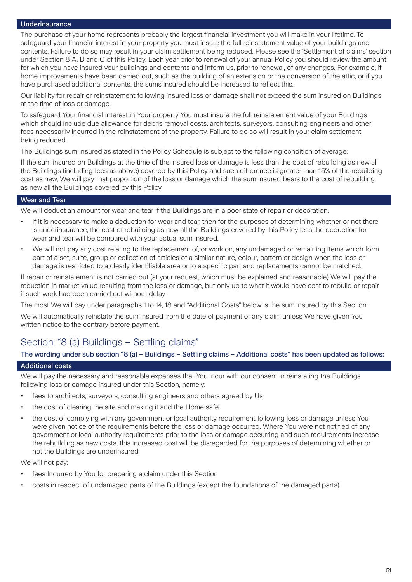#### **Underinsurance**

The purchase of your home represents probably the largest financial investment you will make in your lifetime. To safeguard your financial interest in your property you must insure the full reinstatement value of your buildings and contents. Failure to do so may result in your claim settlement being reduced. Please see the 'Settlement of claims' section under Section 8 A, B and C of this Policy. Each year prior to renewal of your annual Policy you should review the amount for which you have insured your buildings and contents and inform us, prior to renewal, of any changes. For example, if home improvements have been carried out, such as the building of an extension or the conversion of the attic, or if you have purchased additional contents, the sums insured should be increased to reflect this.

Our liability for repair or reinstatement following insured loss or damage shall not exceed the sum insured on Buildings at the time of loss or damage.

To safeguard Your financial interest in Your property You must insure the full reinstatement value of your Buildings which should include due allowance for debris removal costs, architects, surveyors, consulting engineers and other fees necessarily incurred in the reinstatement of the property. Failure to do so will result in your claim settlement being reduced.

The Buildings sum insured as stated in the Policy Schedule is subject to the following condition of average:

If the sum insured on Buildings at the time of the insured loss or damage is less than the cost of rebuilding as new all the Buildings (including fees as above) covered by this Policy and such difference is greater than 15% of the rebuilding cost as new, We will pay that proportion of the loss or damage which the sum insured bears to the cost of rebuilding as new all the Buildings covered by this Policy

#### Wear and Tear

We will deduct an amount for wear and tear if the Buildings are in a poor state of repair or decoration.

- If it is necessary to make a deduction for wear and tear, then for the purposes of determining whether or not there is underinsurance, the cost of rebuilding as new all the Buildings covered by this Policy less the deduction for wear and tear will be compared with your actual sum insured.
- We will not pay any cost relating to the replacement of, or work on, any undamaged or remaining items which form part of a set, suite, group or collection of articles of a similar nature, colour, pattern or design when the loss or damage is restricted to a clearly identifiable area or to a specific part and replacements cannot be matched.

If repair or reinstatement is not carried out (at your request, which must be explained and reasonable) We will pay the reduction in market value resulting from the loss or damage, but only up to what it would have cost to rebuild or repair if such work had been carried out without delay

The most We will pay under paragraphs 1 to 14, 18 and "Additional Costs" below is the sum insured by this Section.

We will automatically reinstate the sum insured from the date of payment of any claim unless We have given You written notice to the contrary before payment.

### Section: "8 (a) Buildings – Settling claims"

The wording under sub section "8 (a) – Buildings – Settling claims – Additional costs" has been updated as follows:

#### Additional costs

We will pay the necessary and reasonable expenses that You incur with our consent in reinstating the Buildings following loss or damage insured under this Section, namely:

- fees to architects, surveyors, consulting engineers and others agreed by Us
- the cost of clearing the site and making it and the Home safe
- the cost of complying with any government or local authority requirement following loss or damage unless You were given notice of the requirements before the loss or damage occurred. Where You were not notified of any government or local authority requirements prior to the loss or damage occurring and such requirements increase the rebuilding as new costs, this increased cost will be disregarded for the purposes of determining whether or not the Buildings are underinsured.

We will not pay:

- fees Incurred by You for preparing a claim under this Section
- costs in respect of undamaged parts of the Buildings (except the foundations of the damaged parts).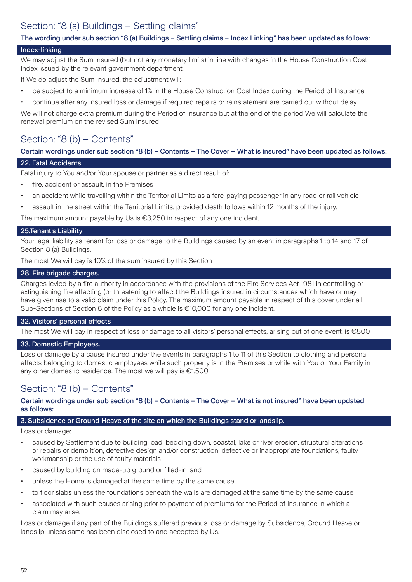# Section: "8 (a) Buildings – Settling claims"

#### The wording under sub section "8 (a) Buildings – Settling claims – Index Linking" has been updated as follows:

#### Index-linking

We may adjust the Sum Insured (but not any monetary limits) in line with changes in the House Construction Cost Index issued by the relevant government department.

If We do adjust the Sum Insured, the adjustment will:

- be subject to a minimum increase of 1% in the House Construction Cost Index during the Period of Insurance
- continue after any insured loss or damage if required repairs or reinstatement are carried out without delay.

We will not charge extra premium during the Period of Insurance but at the end of the period We will calculate the renewal premium on the revised Sum Insured

# Section: "8 (b) – Contents"

Certain wordings under sub section "8 (b) – Contents – The Cover – What is insured" have been updated as follows:

### 22. Fatal Accidents.

Fatal injury to You and/or Your spouse or partner as a direct result of:

- fire, accident or assault, in the Premises
- an accident while travelling within the Territorial Limits as a fare-paying passenger in any road or rail vehicle
- assault in the street within the Territorial Limits, provided death follows within 12 months of the injury.

The maximum amount payable by Us is €3,250 in respect of any one incident.

#### 25.Tenant's Liability

Your legal liability as tenant for loss or damage to the Buildings caused by an event in paragraphs 1 to 14 and 17 of Section 8 (a) Buildings.

The most We will pay is 10% of the sum insured by this Section

#### 28. Fire brigade charges.

Charges levied by a fire authority in accordance with the provisions of the Fire Services Act 1981 in controlling or extinguishing fire affecting (or threatening to affect) the Buildings insured in circumstances which have or may have given rise to a valid claim under this Policy. The maximum amount payable in respect of this cover under all Sub-Sections of Section 8 of the Policy as a whole is €10,000 for any one incident.

#### 32. Visitors' personal effects

The most We will pay in respect of loss or damage to all visitors' personal effects, arising out of one event, is €800

#### 33. Domestic Employees.

Loss or damage by a cause insured under the events in paragraphs 1 to 11 of this Section to clothing and personal effects belonging to domestic employees while such property is in the Premises or while with You or Your Family in any other domestic residence. The most we will pay is €1,500

### Section: "8 (b) – Contents"

#### Certain wordings under sub section "8 (b) – Contents – The Cover – What is not insured" have been updated as follows:

#### 3. Subsidence or Ground Heave of the site on which the Buildings stand or landslip.

Loss or damage:

- caused by Settlement due to building load, bedding down, coastal, lake or river erosion, structural alterations or repairs or demolition, defective design and/or construction, defective or inappropriate foundations, faulty workmanship or the use of faulty materials
- caused by building on made-up ground or filled-in land
- unless the Home is damaged at the same time by the same cause
- to floor slabs unless the foundations beneath the walls are damaged at the same time by the same cause
- associated with such causes arising prior to payment of premiums for the Period of Insurance in which a claim may arise.

Loss or damage if any part of the Buildings suffered previous loss or damage by Subsidence, Ground Heave or landslip unless same has been disclosed to and accepted by Us.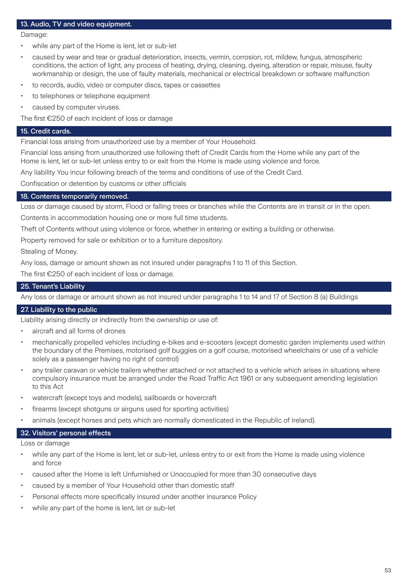#### 13. Audio, TV and video equipment.

Damage:

- while any part of the Home is lent, let or sub-let
- caused by wear and tear or gradual deterioration, insects, vermin, corrosion, rot, mildew, fungus, atmospheric conditions, the action of light, any process of heating, drying, cleaning, dyeing, alteration or repair, misuse, faulty workmanship or design, the use of faulty materials, mechanical or electrical breakdown or software malfunction
- to records, audio, video or computer discs, tapes or cassettes
- to telephones or telephone equipment
- caused by computer viruses.

The first €250 of each incident of loss or damage

#### 15. Credit cards.

Financial loss arising from unauthorized use by a member of Your Household.

Financial loss arising from unauthorized use following theft of Credit Cards from the Home while any part of the Home is lent, let or sub-let unless entry to or exit from the Home is made using violence and force.

Any liability You incur following breach of the terms and conditions of use of the Credit Card.

Confiscation or detention by customs or other officials

#### 18. Contents temporarily removed.

Loss or damage caused by storm, Flood or falling trees or branches while the Contents are in transit or in the open. Contents in accommodation housing one or more full time students.

Theft of Contents without using violence or force, whether in entering or exiting a building or otherwise.

Property removed for sale or exhibition or to a furniture depository.

Stealing of Money.

Any loss, damage or amount shown as not insured under paragraphs 1 to 11 of this Section.

The first €250 of each incident of loss or damage.

### 25. Tenant's Liability

Any loss or damage or amount shown as not insured under paragraphs 1 to 14 and 17 of Section 8 (a) Buildings

#### 27. Liability to the public

Liability arising directly or indirectly from the ownership or use of:

- aircraft and all forms of drones
- mechanically propelled vehicles including e-bikes and e-scooters (except domestic garden implements used within the boundary of the Premises, motorised golf buggies on a golf course, motorised wheelchairs or use of a vehicle solely as a passenger having no right of control)
- any trailer caravan or vehicle trailers whether attached or not attached to a vehicle which arises in situations where compulsory insurance must be arranged under the Road Traffic Act 1961 or any subsequent amending legislation to this Act
- watercraft (except toys and models), sailboards or hovercraft
- firearms (except shotguns or airguns used for sporting activities)
- animals (except horses and pets which are normally domesticated in the Republic of Ireland).

#### 32. Visitors' personal effects

Loss or damage

- while any part of the Home is lent, let or sub-let, unless entry to or exit from the Home is made using violence and force
- caused after the Home is left Unfurnished or Unoccupied for more than 30 consecutive days
- caused by a member of Your Household other than domestic staff
- Personal effects more specifically insured under another insurance Policy
- while any part of the home is lent, let or sub-let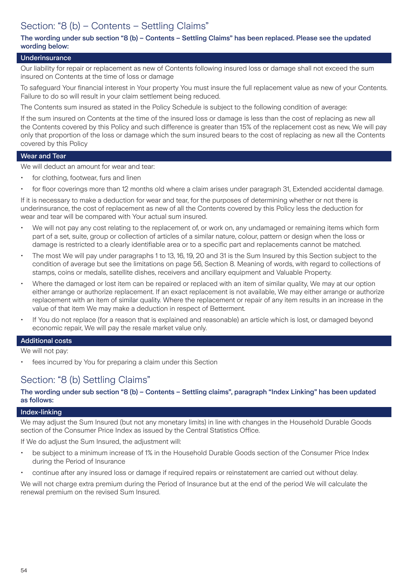# Section: "8 (b) – Contents – Settling Claims"

#### The wording under sub section "8 (b) – Contents – Settling Claims" has been replaced. Please see the updated wording below:

#### **Underinsurance**

Our liability for repair or replacement as new of Contents following insured loss or damage shall not exceed the sum insured on Contents at the time of loss or damage

To safeguard Your financial interest in Your property You must insure the full replacement value as new of your Contents. Failure to do so will result in your claim settlement being reduced.

The Contents sum insured as stated in the Policy Schedule is subject to the following condition of average:

If the sum insured on Contents at the time of the insured loss or damage is less than the cost of replacing as new all the Contents covered by this Policy and such difference is greater than 15% of the replacement cost as new, We will pay only that proportion of the loss or damage which the sum insured bears to the cost of replacing as new all the Contents covered by this Policy

#### Wear and Tear

We will deduct an amount for wear and tear:

- for clothing, footwear, furs and linen
- for floor coverings more than 12 months old where a claim arises under paragraph 31, Extended accidental damage.

If it is necessary to make a deduction for wear and tear, for the purposes of determining whether or not there is underinsurance, the cost of replacement as new of all the Contents covered by this Policy less the deduction for wear and tear will be compared with Your actual sum insured.

- We will not pay any cost relating to the replacement of, or work on, any undamaged or remaining items which form part of a set, suite, group or collection of articles of a similar nature, colour, pattern or design when the loss or damage is restricted to a clearly identifiable area or to a specific part and replacements cannot be matched.
- The most We will pay under paragraphs 1 to 13, 16, 19, 20 and 31 is the Sum Insured by this Section subject to the condition of average but see the limitations on page 56, Section 8. Meaning of words, with regard to collections of stamps, coins or medals, satellite dishes, receivers and ancillary equipment and Valuable Property.
- Where the damaged or lost item can be repaired or replaced with an item of similar quality, We may at our option either arrange or authorize replacement. If an exact replacement is not available, We may either arrange or authorize replacement with an item of similar quality. Where the replacement or repair of any item results in an increase in the value of that item We may make a deduction in respect of Betterment.
- If You do not replace (for a reason that is explained and reasonable) an article which is lost, or damaged beyond economic repair, We will pay the resale market value only.

# Additional costs

We will not pay:

fees incurred by You for preparing a claim under this Section

### Section: "8 (b) Settling Claims"

#### The wording under sub section "8 (b) – Contents – Settling claims", paragraph "Index Linking" has been updated as follows:

#### Index-linking

We may adjust the Sum Insured (but not any monetary limits) in line with changes in the Household Durable Goods section of the Consumer Price Index as issued by the Central Statistics Office.

If We do adjust the Sum Insured, the adjustment will:

- be subject to a minimum increase of 1% in the Household Durable Goods section of the Consumer Price Index during the Period of Insurance
- continue after any insured loss or damage if required repairs or reinstatement are carried out without delay.

We will not charge extra premium during the Period of Insurance but at the end of the period We will calculate the renewal premium on the revised Sum Insured.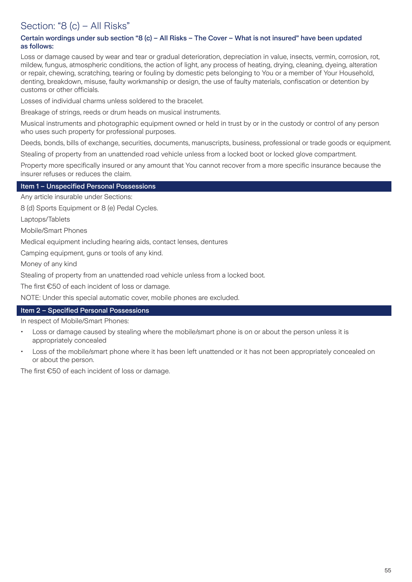# Section: "8 (c) – All Risks"

#### Certain wordings under sub section "8 (c) – All Risks – The Cover – What is not insured" have been updated as follows:

Loss or damage caused by wear and tear or gradual deterioration, depreciation in value, insects, vermin, corrosion, rot, mildew, fungus, atmospheric conditions, the action of light, any process of heating, drying, cleaning, dyeing, alteration or repair, chewing, scratching, tearing or fouling by domestic pets belonging to You or a member of Your Household, denting, breakdown, misuse, faulty workmanship or design, the use of faulty materials, confiscation or detention by customs or other officials.

Losses of individual charms unless soldered to the bracelet.

Breakage of strings, reeds or drum heads on musical instruments.

Musical instruments and photographic equipment owned or held in trust by or in the custody or control of any person who uses such property for professional purposes.

Deeds, bonds, bills of exchange, securities, documents, manuscripts, business, professional or trade goods or equipment. Stealing of property from an unattended road vehicle unless from a locked boot or locked glove compartment.

Property more specifically insured or any amount that You cannot recover from a more specific insurance because the

insurer refuses or reduces the claim.

#### Item 1 – Unspecified Personal Possessions

Any article insurable under Sections:

8 (d) Sports Equipment or 8 (e) Pedal Cycles.

Laptops/Tablets

Mobile/Smart Phones

Medical equipment including hearing aids, contact lenses, dentures

Camping equipment, guns or tools of any kind.

Money of any kind

Stealing of property from an unattended road vehicle unless from a locked boot.

The first €50 of each incident of loss or damage.

NOTE: Under this special automatic cover, mobile phones are excluded.

#### Item 2 – Specified Personal Possessions

In respect of Mobile/Smart Phones:

- Loss or damage caused by stealing where the mobile/smart phone is on or about the person unless it is appropriately concealed
- Loss of the mobile/smart phone where it has been left unattended or it has not been appropriately concealed on or about the person.

The first €50 of each incident of loss or damage.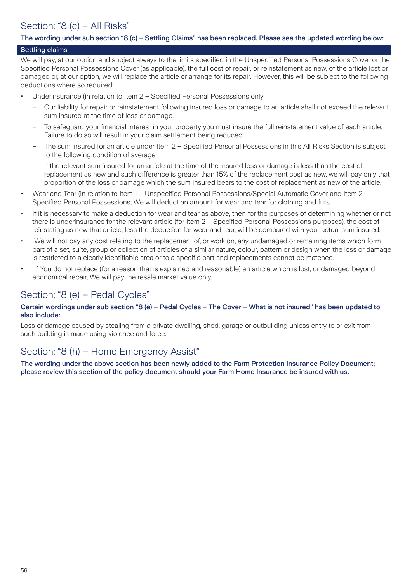# Section: "8 (c) – All Risks"

#### The wording under sub section "8 (c) – Settling Claims" has been replaced. Please see the updated wording below:

### Settling claims

We will pay, at our option and subject always to the limits specified in the Unspecified Personal Possessions Cover or the Specified Personal Possessions Cover (as applicable), the full cost of repair, or reinstatement as new, of the article lost or damaged or, at our option, we will replace the article or arrange for its repair. However, this will be subject to the following deductions where so required:

- Underinsurance (in relation to Item 2 Specified Personal Possessions only
	- Our liability for repair or reinstatement following insured loss or damage to an article shall not exceed the relevant sum insured at the time of loss or damage.
	- To safeguard your financial interest in your property you must insure the full reinstatement value of each article. Failure to do so will result in your claim settlement being reduced.
	- The sum insured for an article under Item 2 Specified Personal Possessions in this All Risks Section is subject to the following condition of average:

If the relevant sum insured for an article at the time of the insured loss or damage is less than the cost of replacement as new and such difference is greater than 15% of the replacement cost as new, we will pay only that proportion of the loss or damage which the sum insured bears to the cost of replacement as new of the article.

- Wear and Tear (in relation to Item 1 Unspecified Personal Possessions/Special Automatic Cover and Item 2 Specified Personal Possessions, We will deduct an amount for wear and tear for clothing and furs
- If it is necessary to make a deduction for wear and tear as above, then for the purposes of determining whether or not there is underinsurance for the relevant article (for Item 2 – Specified Personal Possessions purposes), the cost of reinstating as new that article, less the deduction for wear and tear, will be compared with your actual sum insured.
- We will not pay any cost relating to the replacement of, or work on, any undamaged or remaining items which form part of a set, suite, group or collection of articles of a similar nature, colour, pattern or design when the loss or damage is restricted to a clearly identifiable area or to a specific part and replacements cannot be matched.
- If You do not replace (for a reason that is explained and reasonable) an article which is lost, or damaged beyond economical repair, We will pay the resale market value only.

### Section: "8 (e) – Pedal Cycles"

#### Certain wordings under sub section "8 (e) – Pedal Cycles – The Cover – What is not insured" has been updated to also include:

Loss or damage caused by stealing from a private dwelling, shed, garage or outbuilding unless entry to or exit from such building is made using violence and force.

### Section: "8 (h) – Home Emergency Assist"

The wording under the above section has been newly added to the Farm Protection Insurance Policy Document; please review this section of the policy document should your Farm Home Insurance be insured with us.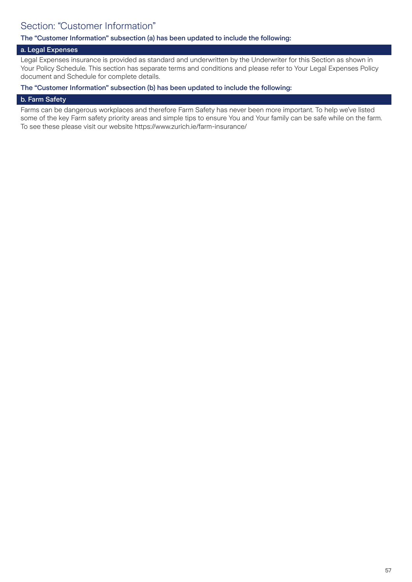# Section: "Customer Information"

#### The "Customer Information" subsection (a) has been updated to include the following:

#### a. Legal Expenses

Legal Expenses insurance is provided as standard and underwritten by the Underwriter for this Section as shown in Your Policy Schedule. This section has separate terms and conditions and please refer to Your Legal Expenses Policy document and Schedule for complete details.

#### The "Customer Information" subsection (b) has been updated to include the following:

#### b. Farm Safety

Farms can be dangerous workplaces and therefore Farm Safety has never been more important. To help we've listed some of the key Farm safety priority areas and simple tips to ensure You and Your family can be safe while on the farm. To see these please visit our website https://www.zurich.ie/farm-insurance/